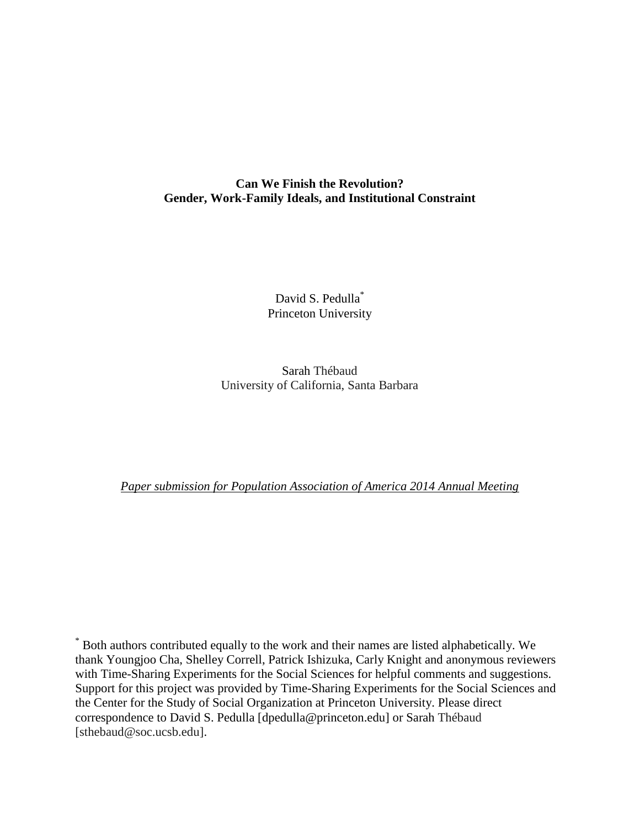# **Can We Finish the Revolution? Gender, Work-Family Ideals, and Institutional Constraint**

David S. Pedulla<sup>\*</sup> Princeton University

Sarah Thébaud University of California, Santa Barbara

*Paper submission for Population Association of America 2014 Annual Meeting*

\* Both authors contributed equally to the work and their names are listed alphabetically. We thank Youngjoo Cha, Shelley Correll, Patrick Ishizuka, Carly Knight and anonymous reviewers with Time-Sharing Experiments for the Social Sciences for helpful comments and suggestions. Support for this project was provided by Time-Sharing Experiments for the Social Sciences and the Center for the Study of Social Organization at Princeton University. Please direct correspondence to David S. Pedulla [dpedulla@princeton.edu] or Sarah Thébaud [sthebaud@soc.ucsb.edu].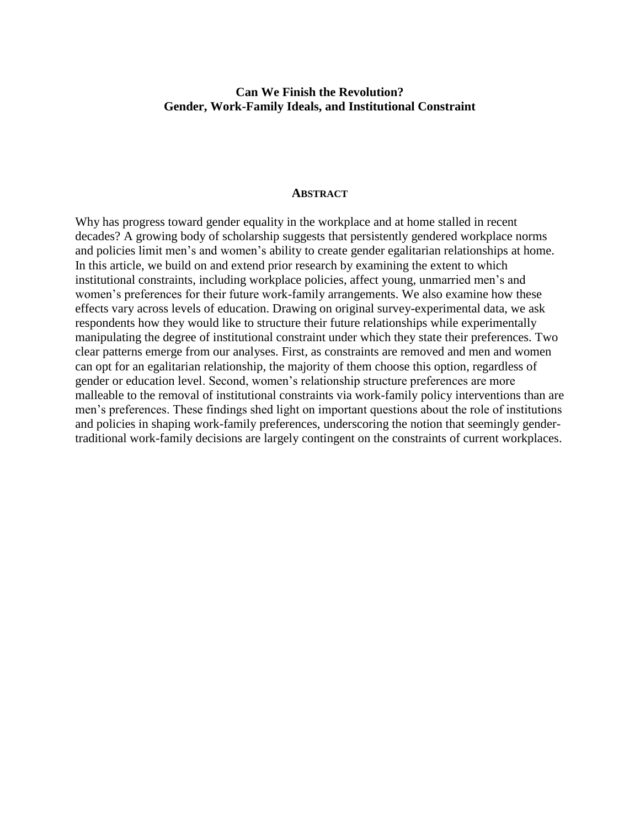## **Can We Finish the Revolution? Gender, Work-Family Ideals, and Institutional Constraint**

#### **ABSTRACT**

Why has progress toward gender equality in the workplace and at home stalled in recent decades? A growing body of scholarship suggests that persistently gendered workplace norms and policies limit men's and women's ability to create gender egalitarian relationships at home. In this article, we build on and extend prior research by examining the extent to which institutional constraints, including workplace policies, affect young, unmarried men's and women's preferences for their future work-family arrangements. We also examine how these effects vary across levels of education. Drawing on original survey-experimental data, we ask respondents how they would like to structure their future relationships while experimentally manipulating the degree of institutional constraint under which they state their preferences. Two clear patterns emerge from our analyses. First, as constraints are removed and men and women can opt for an egalitarian relationship, the majority of them choose this option, regardless of gender or education level. Second, women's relationship structure preferences are more malleable to the removal of institutional constraints via work-family policy interventions than are men's preferences. These findings shed light on important questions about the role of institutions and policies in shaping work-family preferences, underscoring the notion that seemingly gendertraditional work-family decisions are largely contingent on the constraints of current workplaces.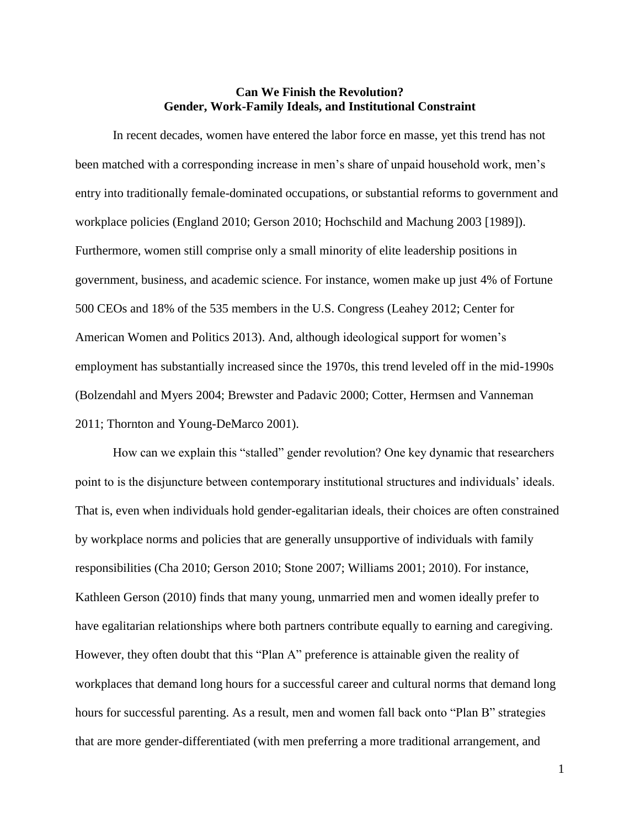## **Can We Finish the Revolution? Gender, Work-Family Ideals, and Institutional Constraint**

In recent decades, women have entered the labor force en masse, yet this trend has not been matched with a corresponding increase in men's share of unpaid household work, men's entry into traditionally female-dominated occupations, or substantial reforms to government and workplace policies (England 2010; Gerson 2010; Hochschild and Machung 2003 [1989]). Furthermore, women still comprise only a small minority of elite leadership positions in government, business, and academic science. For instance, women make up just 4% of Fortune 500 CEOs and 18% of the 535 members in the U.S. Congress (Leahey 2012; Center for American Women and Politics 2013). And, although ideological support for women's employment has substantially increased since the 1970s, this trend leveled off in the mid-1990s (Bolzendahl and Myers 2004; Brewster and Padavic 2000; Cotter, Hermsen and Vanneman 2011; Thornton and Young-DeMarco 2001).

How can we explain this "stalled" gender revolution? One key dynamic that researchers point to is the disjuncture between contemporary institutional structures and individuals' ideals. That is, even when individuals hold gender-egalitarian ideals, their choices are often constrained by workplace norms and policies that are generally unsupportive of individuals with family responsibilities (Cha 2010; Gerson 2010; Stone 2007; Williams 2001; 2010). For instance, Kathleen Gerson (2010) finds that many young, unmarried men and women ideally prefer to have egalitarian relationships where both partners contribute equally to earning and caregiving. However, they often doubt that this "Plan A" preference is attainable given the reality of workplaces that demand long hours for a successful career and cultural norms that demand long hours for successful parenting. As a result, men and women fall back onto "Plan B" strategies that are more gender-differentiated (with men preferring a more traditional arrangement, and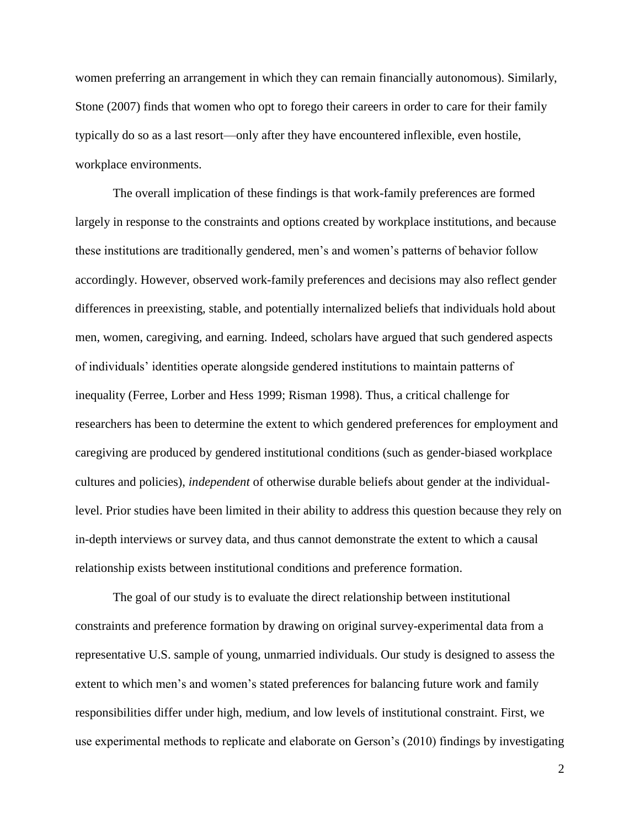women preferring an arrangement in which they can remain financially autonomous). Similarly, Stone (2007) finds that women who opt to forego their careers in order to care for their family typically do so as a last resort—only after they have encountered inflexible, even hostile, workplace environments.

The overall implication of these findings is that work-family preferences are formed largely in response to the constraints and options created by workplace institutions, and because these institutions are traditionally gendered, men's and women's patterns of behavior follow accordingly. However, observed work-family preferences and decisions may also reflect gender differences in preexisting, stable, and potentially internalized beliefs that individuals hold about men, women, caregiving, and earning. Indeed, scholars have argued that such gendered aspects of individuals' identities operate alongside gendered institutions to maintain patterns of inequality (Ferree, Lorber and Hess 1999; Risman 1998). Thus, a critical challenge for researchers has been to determine the extent to which gendered preferences for employment and caregiving are produced by gendered institutional conditions (such as gender-biased workplace cultures and policies), *independent* of otherwise durable beliefs about gender at the individuallevel. Prior studies have been limited in their ability to address this question because they rely on in-depth interviews or survey data, and thus cannot demonstrate the extent to which a causal relationship exists between institutional conditions and preference formation.

The goal of our study is to evaluate the direct relationship between institutional constraints and preference formation by drawing on original survey-experimental data from a representative U.S. sample of young, unmarried individuals. Our study is designed to assess the extent to which men's and women's stated preferences for balancing future work and family responsibilities differ under high, medium, and low levels of institutional constraint. First, we use experimental methods to replicate and elaborate on Gerson's (2010) findings by investigating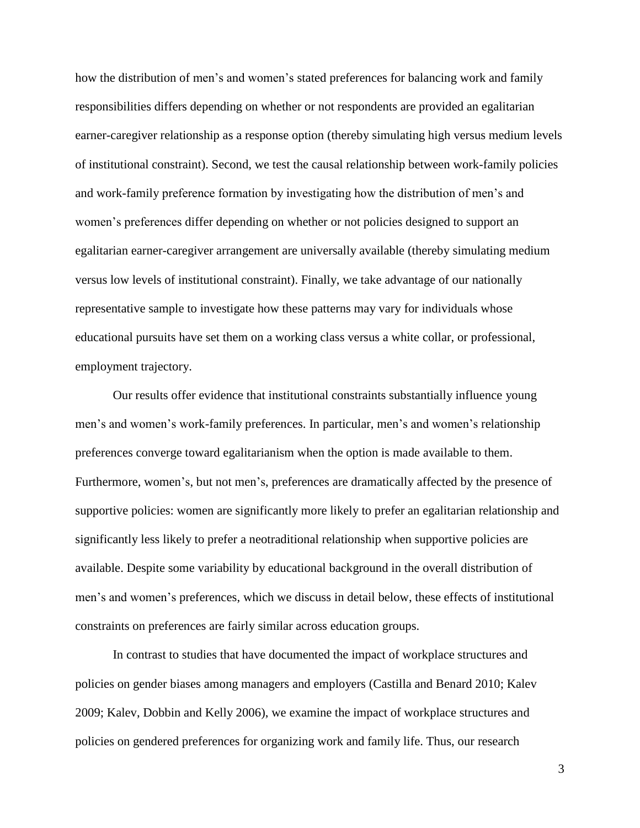how the distribution of men's and women's stated preferences for balancing work and family responsibilities differs depending on whether or not respondents are provided an egalitarian earner-caregiver relationship as a response option (thereby simulating high versus medium levels of institutional constraint). Second, we test the causal relationship between work-family policies and work-family preference formation by investigating how the distribution of men's and women's preferences differ depending on whether or not policies designed to support an egalitarian earner-caregiver arrangement are universally available (thereby simulating medium versus low levels of institutional constraint). Finally, we take advantage of our nationally representative sample to investigate how these patterns may vary for individuals whose educational pursuits have set them on a working class versus a white collar, or professional, employment trajectory.

Our results offer evidence that institutional constraints substantially influence young men's and women's work-family preferences. In particular, men's and women's relationship preferences converge toward egalitarianism when the option is made available to them. Furthermore, women's, but not men's, preferences are dramatically affected by the presence of supportive policies: women are significantly more likely to prefer an egalitarian relationship and significantly less likely to prefer a neotraditional relationship when supportive policies are available. Despite some variability by educational background in the overall distribution of men's and women's preferences, which we discuss in detail below, these effects of institutional constraints on preferences are fairly similar across education groups.

In contrast to studies that have documented the impact of workplace structures and policies on gender biases among managers and employers (Castilla and Benard 2010; Kalev 2009; Kalev, Dobbin and Kelly 2006), we examine the impact of workplace structures and policies on gendered preferences for organizing work and family life. Thus, our research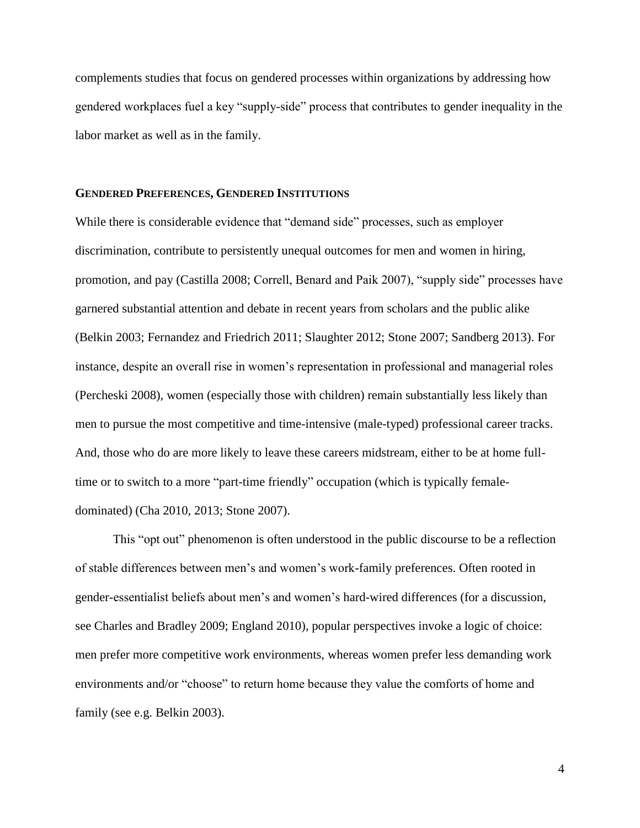complements studies that focus on gendered processes within organizations by addressing how gendered workplaces fuel a key "supply-side" process that contributes to gender inequality in the labor market as well as in the family.

#### **GENDERED PREFERENCES, GENDERED INSTITUTIONS**

While there is considerable evidence that "demand side" processes, such as employer discrimination, contribute to persistently unequal outcomes for men and women in hiring, promotion, and pay (Castilla 2008; Correll, Benard and Paik 2007), "supply side" processes have garnered substantial attention and debate in recent years from scholars and the public alike (Belkin 2003; Fernandez and Friedrich 2011; Slaughter 2012; Stone 2007; Sandberg 2013). For instance, despite an overall rise in women's representation in professional and managerial roles (Percheski 2008), women (especially those with children) remain substantially less likely than men to pursue the most competitive and time-intensive (male-typed) professional career tracks. And, those who do are more likely to leave these careers midstream, either to be at home fulltime or to switch to a more "part-time friendly" occupation (which is typically femaledominated) (Cha 2010, 2013; Stone 2007).

This "opt out" phenomenon is often understood in the public discourse to be a reflection of stable differences between men's and women's work-family preferences. Often rooted in gender-essentialist beliefs about men's and women's hard-wired differences (for a discussion, see Charles and Bradley 2009; England 2010), popular perspectives invoke a logic of choice: men prefer more competitive work environments, whereas women prefer less demanding work environments and/or "choose" to return home because they value the comforts of home and family (see e.g. Belkin 2003).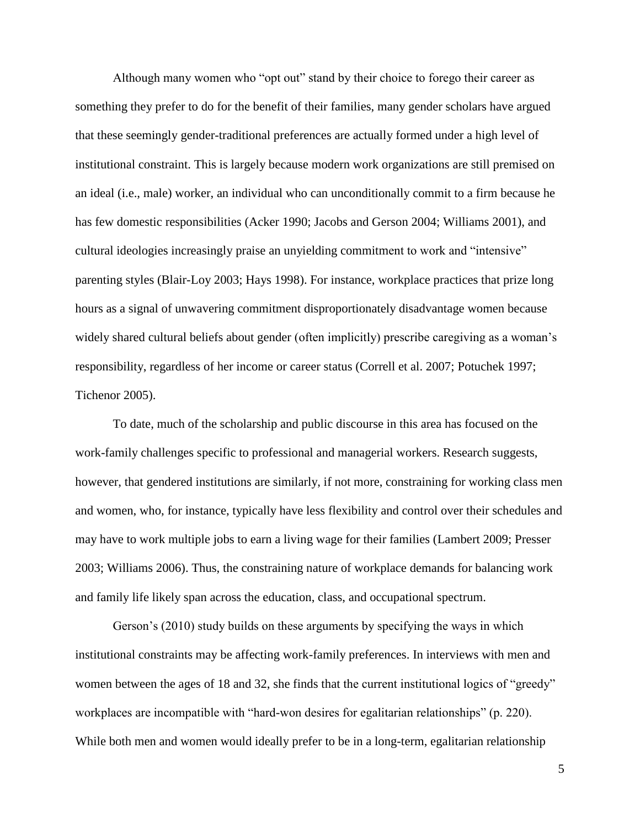Although many women who "opt out" stand by their choice to forego their career as something they prefer to do for the benefit of their families, many gender scholars have argued that these seemingly gender-traditional preferences are actually formed under a high level of institutional constraint. This is largely because modern work organizations are still premised on an ideal (i.e., male) worker, an individual who can unconditionally commit to a firm because he has few domestic responsibilities (Acker 1990; Jacobs and Gerson 2004; Williams 2001), and cultural ideologies increasingly praise an unyielding commitment to work and "intensive" parenting styles (Blair-Loy 2003; Hays 1998). For instance, workplace practices that prize long hours as a signal of unwavering commitment disproportionately disadvantage women because widely shared cultural beliefs about gender (often implicitly) prescribe caregiving as a woman's responsibility, regardless of her income or career status (Correll et al. 2007; Potuchek 1997; Tichenor 2005).

To date, much of the scholarship and public discourse in this area has focused on the work-family challenges specific to professional and managerial workers. Research suggests, however, that gendered institutions are similarly, if not more, constraining for working class men and women, who, for instance, typically have less flexibility and control over their schedules and may have to work multiple jobs to earn a living wage for their families (Lambert 2009; Presser 2003; Williams 2006). Thus, the constraining nature of workplace demands for balancing work and family life likely span across the education, class, and occupational spectrum.

Gerson's (2010) study builds on these arguments by specifying the ways in which institutional constraints may be affecting work-family preferences. In interviews with men and women between the ages of 18 and 32, she finds that the current institutional logics of "greedy" workplaces are incompatible with "hard-won desires for egalitarian relationships" (p. 220). While both men and women would ideally prefer to be in a long-term, egalitarian relationship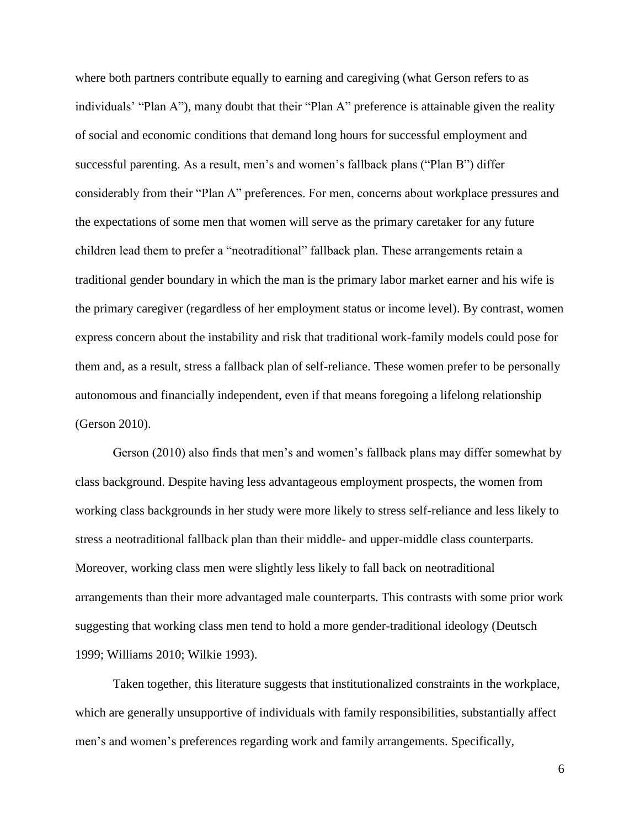where both partners contribute equally to earning and caregiving (what Gerson refers to as individuals' "Plan A"), many doubt that their "Plan A" preference is attainable given the reality of social and economic conditions that demand long hours for successful employment and successful parenting. As a result, men's and women's fallback plans ("Plan B") differ considerably from their "Plan A" preferences. For men, concerns about workplace pressures and the expectations of some men that women will serve as the primary caretaker for any future children lead them to prefer a "neotraditional" fallback plan. These arrangements retain a traditional gender boundary in which the man is the primary labor market earner and his wife is the primary caregiver (regardless of her employment status or income level). By contrast, women express concern about the instability and risk that traditional work-family models could pose for them and, as a result, stress a fallback plan of self-reliance. These women prefer to be personally autonomous and financially independent, even if that means foregoing a lifelong relationship (Gerson 2010).

Gerson (2010) also finds that men's and women's fallback plans may differ somewhat by class background. Despite having less advantageous employment prospects, the women from working class backgrounds in her study were more likely to stress self-reliance and less likely to stress a neotraditional fallback plan than their middle- and upper-middle class counterparts. Moreover, working class men were slightly less likely to fall back on neotraditional arrangements than their more advantaged male counterparts. This contrasts with some prior work suggesting that working class men tend to hold a more gender-traditional ideology (Deutsch 1999; Williams 2010; Wilkie 1993).

Taken together, this literature suggests that institutionalized constraints in the workplace, which are generally unsupportive of individuals with family responsibilities, substantially affect men's and women's preferences regarding work and family arrangements. Specifically,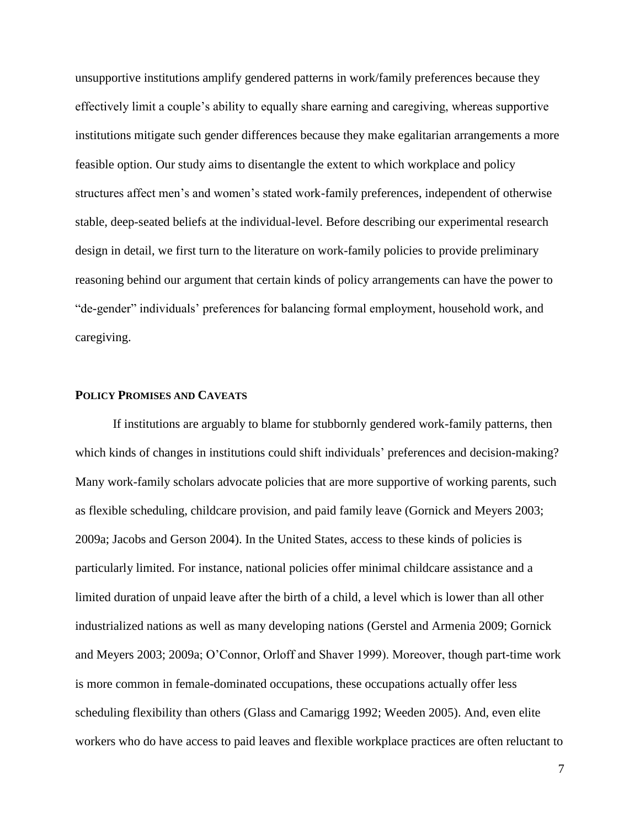unsupportive institutions amplify gendered patterns in work/family preferences because they effectively limit a couple's ability to equally share earning and caregiving, whereas supportive institutions mitigate such gender differences because they make egalitarian arrangements a more feasible option. Our study aims to disentangle the extent to which workplace and policy structures affect men's and women's stated work-family preferences, independent of otherwise stable, deep-seated beliefs at the individual-level. Before describing our experimental research design in detail, we first turn to the literature on work-family policies to provide preliminary reasoning behind our argument that certain kinds of policy arrangements can have the power to "de-gender" individuals' preferences for balancing formal employment, household work, and caregiving.

#### **POLICY PROMISES AND CAVEATS**

If institutions are arguably to blame for stubbornly gendered work-family patterns, then which kinds of changes in institutions could shift individuals' preferences and decision-making? Many work-family scholars advocate policies that are more supportive of working parents, such as flexible scheduling, childcare provision, and paid family leave (Gornick and Meyers 2003; 2009a; Jacobs and Gerson 2004). In the United States, access to these kinds of policies is particularly limited. For instance, national policies offer minimal childcare assistance and a limited duration of unpaid leave after the birth of a child, a level which is lower than all other industrialized nations as well as many developing nations (Gerstel and Armenia 2009; Gornick and Meyers 2003; 2009a; O'Connor, Orloff and Shaver 1999). Moreover, though part-time work is more common in female-dominated occupations, these occupations actually offer less scheduling flexibility than others (Glass and Camarigg 1992; Weeden 2005). And, even elite workers who do have access to paid leaves and flexible workplace practices are often reluctant to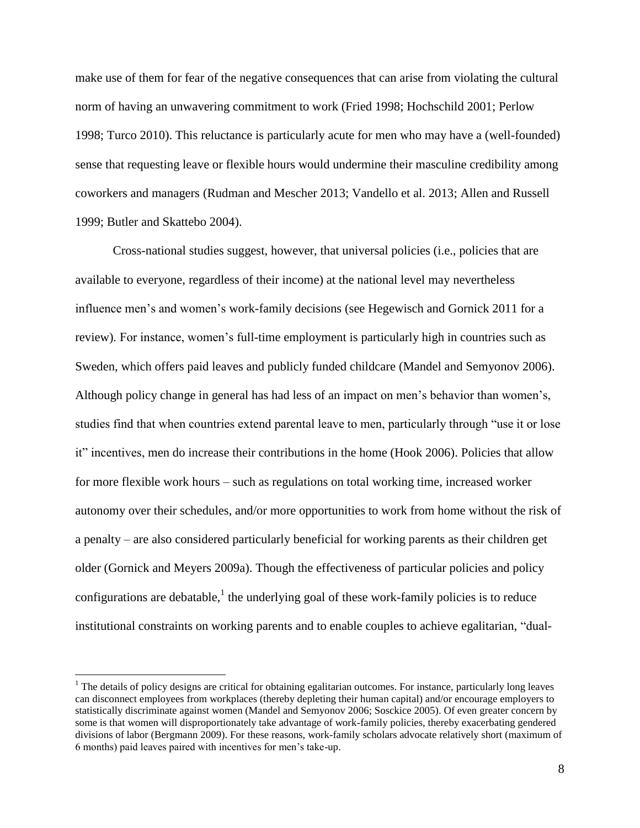make use of them for fear of the negative consequences that can arise from violating the cultural norm of having an unwavering commitment to work (Fried 1998; Hochschild 2001; Perlow 1998; Turco 2010). This reluctance is particularly acute for men who may have a (well-founded) sense that requesting leave or flexible hours would undermine their masculine credibility among coworkers and managers (Rudman and Mescher 2013; Vandello et al. 2013; Allen and Russell 1999; Butler and Skattebo 2004).

Cross-national studies suggest, however, that universal policies (i.e., policies that are available to everyone, regardless of their income) at the national level may nevertheless influence men's and women's work-family decisions (see Hegewisch and Gornick 2011 for a review). For instance, women's full-time employment is particularly high in countries such as Sweden, which offers paid leaves and publicly funded childcare (Mandel and Semyonov 2006). Although policy change in general has had less of an impact on men's behavior than women's, studies find that when countries extend parental leave to men, particularly through "use it or lose it" incentives, men do increase their contributions in the home (Hook 2006). Policies that allow for more flexible work hours – such as regulations on total working time, increased worker autonomy over their schedules, and/or more opportunities to work from home without the risk of a penalty – are also considered particularly beneficial for working parents as their children get older (Gornick and Meyers 2009a). Though the effectiveness of particular policies and policy configurations are debatable,  $\frac{1}{2}$  the underlying goal of these work-family policies is to reduce institutional constraints on working parents and to enable couples to achieve egalitarian, "dual-

 $\overline{a}$ 

 $<sup>1</sup>$  The details of policy designs are critical for obtaining egalitarian outcomes. For instance, particularly long leaves</sup> can disconnect employees from workplaces (thereby depleting their human capital) and/or encourage employers to statistically discriminate against women (Mandel and Semyonov 2006; Sosckice 2005). Of even greater concern by some is that women will disproportionately take advantage of work-family policies, thereby exacerbating gendered divisions of labor (Bergmann 2009). For these reasons, work-family scholars advocate relatively short (maximum of 6 months) paid leaves paired with incentives for men's take-up.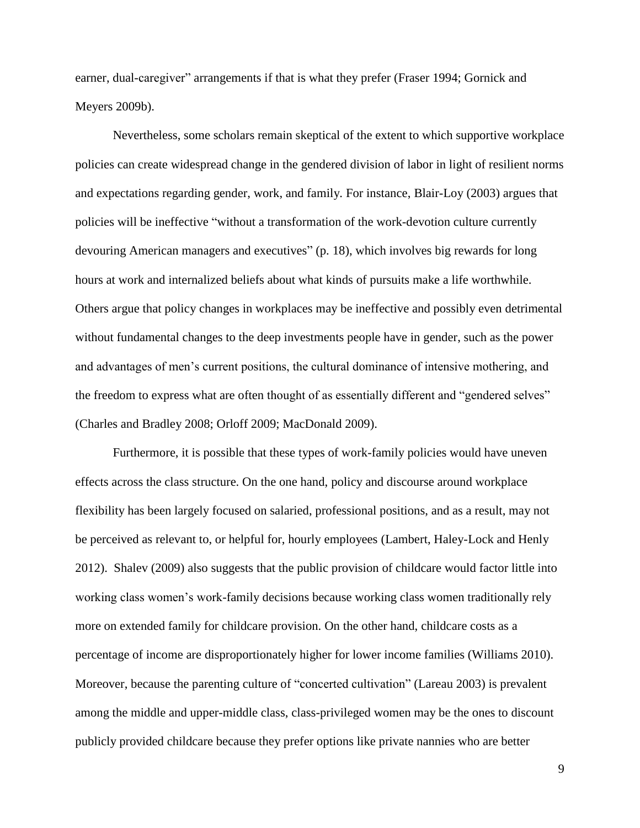earner, dual-caregiver" arrangements if that is what they prefer (Fraser 1994; Gornick and Meyers 2009b).

Nevertheless, some scholars remain skeptical of the extent to which supportive workplace policies can create widespread change in the gendered division of labor in light of resilient norms and expectations regarding gender, work, and family. For instance, Blair-Loy (2003) argues that policies will be ineffective "without a transformation of the work-devotion culture currently devouring American managers and executives" (p. 18), which involves big rewards for long hours at work and internalized beliefs about what kinds of pursuits make a life worthwhile. Others argue that policy changes in workplaces may be ineffective and possibly even detrimental without fundamental changes to the deep investments people have in gender, such as the power and advantages of men's current positions, the cultural dominance of intensive mothering, and the freedom to express what are often thought of as essentially different and "gendered selves" (Charles and Bradley 2008; Orloff 2009; MacDonald 2009).

Furthermore, it is possible that these types of work-family policies would have uneven effects across the class structure. On the one hand, policy and discourse around workplace flexibility has been largely focused on salaried, professional positions, and as a result, may not be perceived as relevant to, or helpful for, hourly employees (Lambert, Haley-Lock and Henly 2012). Shalev (2009) also suggests that the public provision of childcare would factor little into working class women's work-family decisions because working class women traditionally rely more on extended family for childcare provision. On the other hand, childcare costs as a percentage of income are disproportionately higher for lower income families (Williams 2010). Moreover, because the parenting culture of "concerted cultivation" (Lareau 2003) is prevalent among the middle and upper-middle class, class-privileged women may be the ones to discount publicly provided childcare because they prefer options like private nannies who are better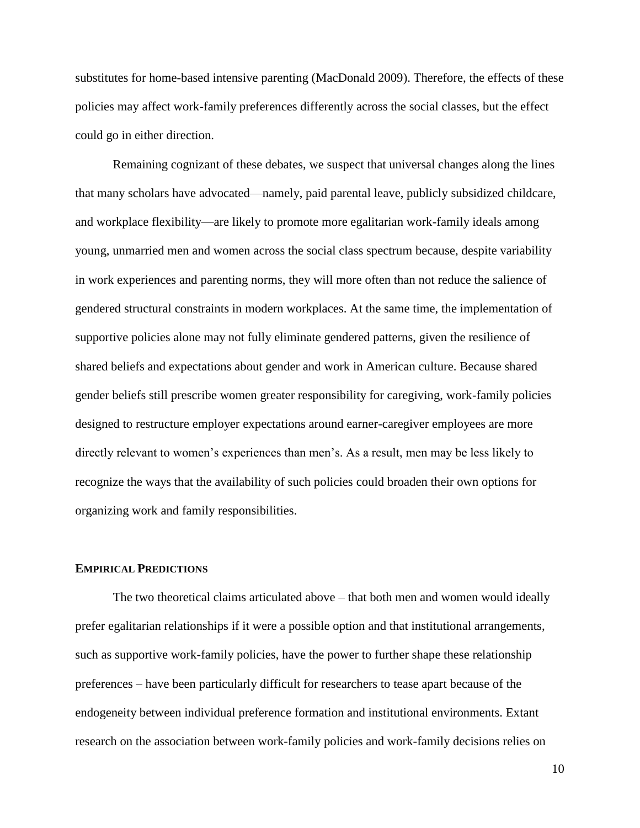substitutes for home-based intensive parenting (MacDonald 2009). Therefore, the effects of these policies may affect work-family preferences differently across the social classes, but the effect could go in either direction.

Remaining cognizant of these debates, we suspect that universal changes along the lines that many scholars have advocated—namely, paid parental leave, publicly subsidized childcare, and workplace flexibility—are likely to promote more egalitarian work-family ideals among young, unmarried men and women across the social class spectrum because, despite variability in work experiences and parenting norms, they will more often than not reduce the salience of gendered structural constraints in modern workplaces. At the same time, the implementation of supportive policies alone may not fully eliminate gendered patterns, given the resilience of shared beliefs and expectations about gender and work in American culture. Because shared gender beliefs still prescribe women greater responsibility for caregiving, work-family policies designed to restructure employer expectations around earner-caregiver employees are more directly relevant to women's experiences than men's. As a result, men may be less likely to recognize the ways that the availability of such policies could broaden their own options for organizing work and family responsibilities.

#### **EMPIRICAL PREDICTIONS**

The two theoretical claims articulated above – that both men and women would ideally prefer egalitarian relationships if it were a possible option and that institutional arrangements, such as supportive work-family policies, have the power to further shape these relationship preferences – have been particularly difficult for researchers to tease apart because of the endogeneity between individual preference formation and institutional environments. Extant research on the association between work-family policies and work-family decisions relies on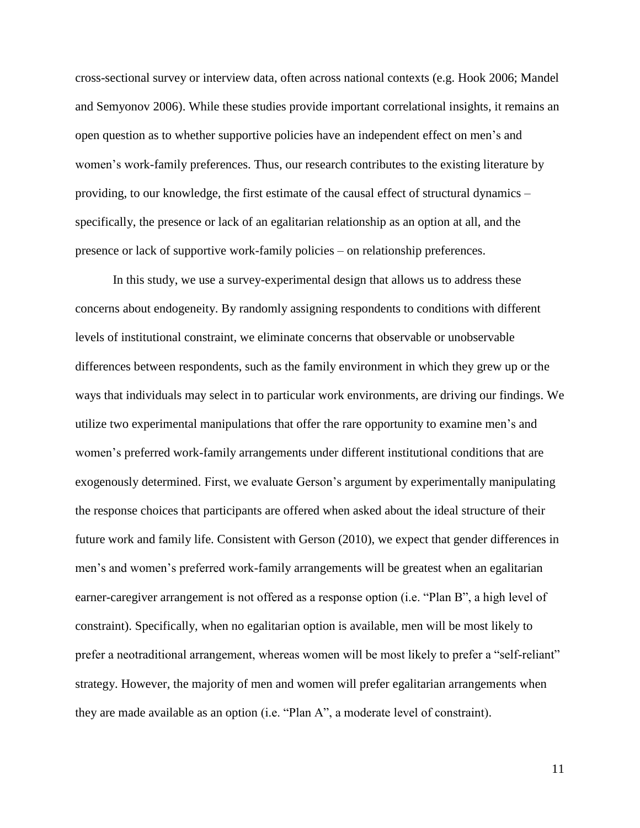cross-sectional survey or interview data, often across national contexts (e.g. Hook 2006; Mandel and Semyonov 2006). While these studies provide important correlational insights, it remains an open question as to whether supportive policies have an independent effect on men's and women's work-family preferences. Thus, our research contributes to the existing literature by providing, to our knowledge, the first estimate of the causal effect of structural dynamics – specifically, the presence or lack of an egalitarian relationship as an option at all, and the presence or lack of supportive work-family policies – on relationship preferences.

In this study, we use a survey-experimental design that allows us to address these concerns about endogeneity. By randomly assigning respondents to conditions with different levels of institutional constraint, we eliminate concerns that observable or unobservable differences between respondents, such as the family environment in which they grew up or the ways that individuals may select in to particular work environments, are driving our findings. We utilize two experimental manipulations that offer the rare opportunity to examine men's and women's preferred work-family arrangements under different institutional conditions that are exogenously determined. First, we evaluate Gerson's argument by experimentally manipulating the response choices that participants are offered when asked about the ideal structure of their future work and family life. Consistent with Gerson (2010), we expect that gender differences in men's and women's preferred work-family arrangements will be greatest when an egalitarian earner-caregiver arrangement is not offered as a response option (i.e. "Plan B", a high level of constraint). Specifically, when no egalitarian option is available, men will be most likely to prefer a neotraditional arrangement, whereas women will be most likely to prefer a "self-reliant" strategy. However, the majority of men and women will prefer egalitarian arrangements when they are made available as an option (i.e. "Plan A", a moderate level of constraint).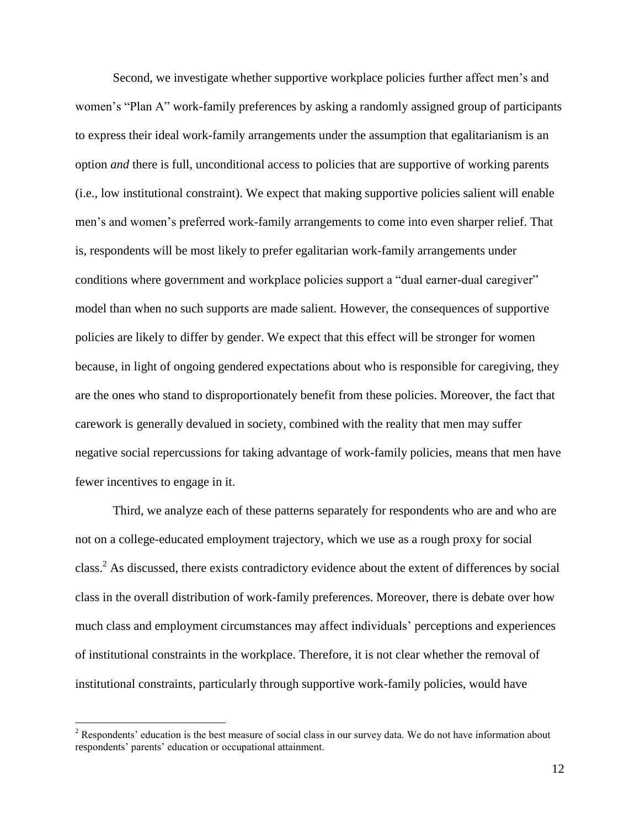Second, we investigate whether supportive workplace policies further affect men's and women's "Plan A" work-family preferences by asking a randomly assigned group of participants to express their ideal work-family arrangements under the assumption that egalitarianism is an option *and* there is full, unconditional access to policies that are supportive of working parents (i.e., low institutional constraint). We expect that making supportive policies salient will enable men's and women's preferred work-family arrangements to come into even sharper relief. That is, respondents will be most likely to prefer egalitarian work-family arrangements under conditions where government and workplace policies support a "dual earner-dual caregiver" model than when no such supports are made salient. However, the consequences of supportive policies are likely to differ by gender. We expect that this effect will be stronger for women because, in light of ongoing gendered expectations about who is responsible for caregiving, they are the ones who stand to disproportionately benefit from these policies. Moreover, the fact that carework is generally devalued in society, combined with the reality that men may suffer negative social repercussions for taking advantage of work-family policies, means that men have fewer incentives to engage in it.

Third, we analyze each of these patterns separately for respondents who are and who are not on a college-educated employment trajectory, which we use as a rough proxy for social class.<sup>2</sup> As discussed, there exists contradictory evidence about the extent of differences by social class in the overall distribution of work-family preferences. Moreover, there is debate over how much class and employment circumstances may affect individuals' perceptions and experiences of institutional constraints in the workplace. Therefore, it is not clear whether the removal of institutional constraints, particularly through supportive work-family policies, would have

 $\overline{a}$ 

<sup>&</sup>lt;sup>2</sup> Respondents' education is the best measure of social class in our survey data. We do not have information about respondents' parents' education or occupational attainment.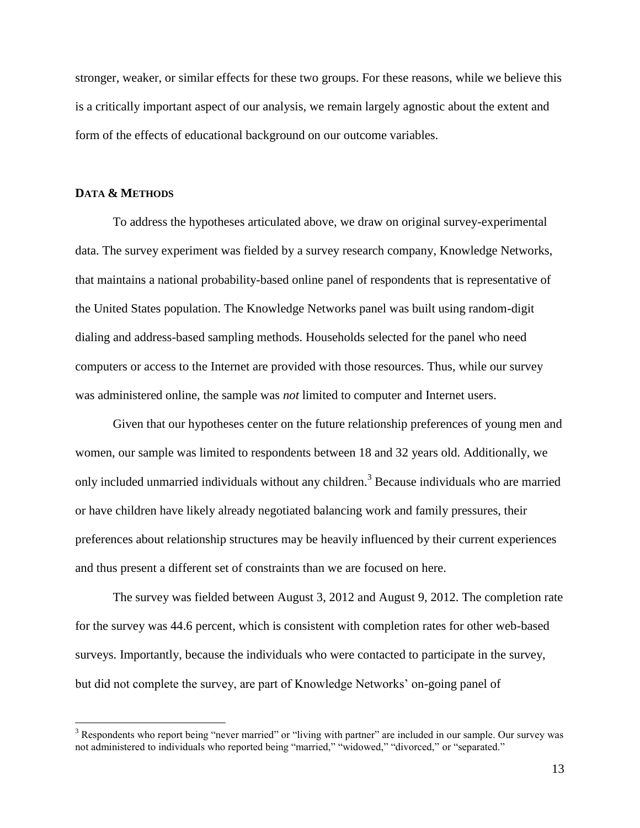stronger, weaker, or similar effects for these two groups. For these reasons, while we believe this is a critically important aspect of our analysis, we remain largely agnostic about the extent and form of the effects of educational background on our outcome variables.

#### **DATA & METHODS**

 $\overline{a}$ 

To address the hypotheses articulated above, we draw on original survey-experimental data. The survey experiment was fielded by a survey research company, Knowledge Networks, that maintains a national probability-based online panel of respondents that is representative of the United States population. The Knowledge Networks panel was built using random-digit dialing and address-based sampling methods. Households selected for the panel who need computers or access to the Internet are provided with those resources. Thus, while our survey was administered online, the sample was *not* limited to computer and Internet users.

Given that our hypotheses center on the future relationship preferences of young men and women, our sample was limited to respondents between 18 and 32 years old. Additionally, we only included unmarried individuals without any children.<sup>3</sup> Because individuals who are married or have children have likely already negotiated balancing work and family pressures, their preferences about relationship structures may be heavily influenced by their current experiences and thus present a different set of constraints than we are focused on here.

The survey was fielded between August 3, 2012 and August 9, 2012. The completion rate for the survey was 44.6 percent, which is consistent with completion rates for other web-based surveys. Importantly, because the individuals who were contacted to participate in the survey, but did not complete the survey, are part of Knowledge Networks' on-going panel of

<sup>&</sup>lt;sup>3</sup> Respondents who report being "never married" or "living with partner" are included in our sample. Our survey was not administered to individuals who reported being "married," "widowed," "divorced," or "separated."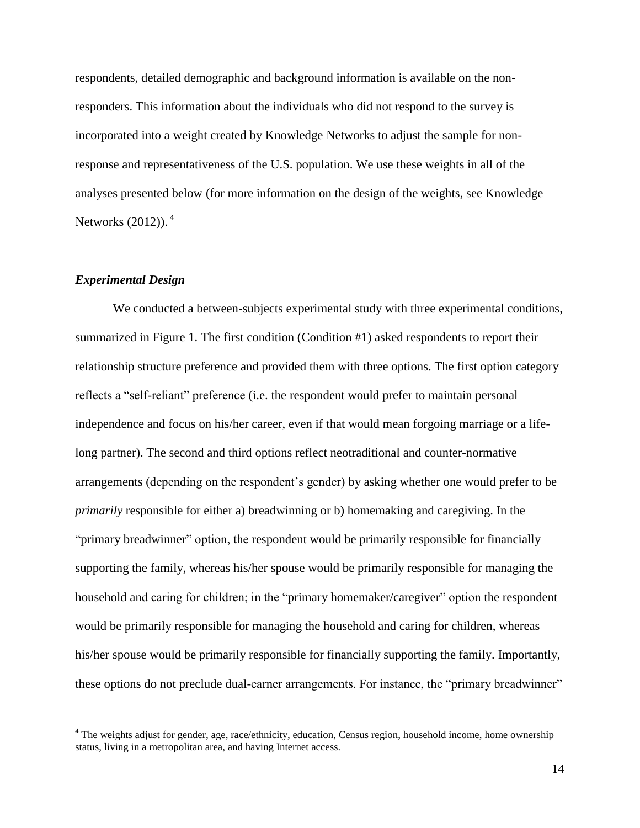respondents, detailed demographic and background information is available on the nonresponders. This information about the individuals who did not respond to the survey is incorporated into a weight created by Knowledge Networks to adjust the sample for nonresponse and representativeness of the U.S. population. We use these weights in all of the analyses presented below (for more information on the design of the weights, see Knowledge Networks (2012)). <sup>4</sup>

#### *Experimental Design*

 $\overline{a}$ 

We conducted a between-subjects experimental study with three experimental conditions, summarized in Figure 1. The first condition (Condition #1) asked respondents to report their relationship structure preference and provided them with three options. The first option category reflects a "self-reliant" preference (i.e. the respondent would prefer to maintain personal independence and focus on his/her career, even if that would mean forgoing marriage or a lifelong partner). The second and third options reflect neotraditional and counter-normative arrangements (depending on the respondent's gender) by asking whether one would prefer to be *primarily* responsible for either a) breadwinning or b) homemaking and caregiving. In the "primary breadwinner" option, the respondent would be primarily responsible for financially supporting the family, whereas his/her spouse would be primarily responsible for managing the household and caring for children; in the "primary homemaker/caregiver" option the respondent would be primarily responsible for managing the household and caring for children, whereas his/her spouse would be primarily responsible for financially supporting the family. Importantly, these options do not preclude dual-earner arrangements. For instance, the "primary breadwinner"

<sup>&</sup>lt;sup>4</sup> The weights adjust for gender, age, race/ethnicity, education, Census region, household income, home ownership status, living in a metropolitan area, and having Internet access.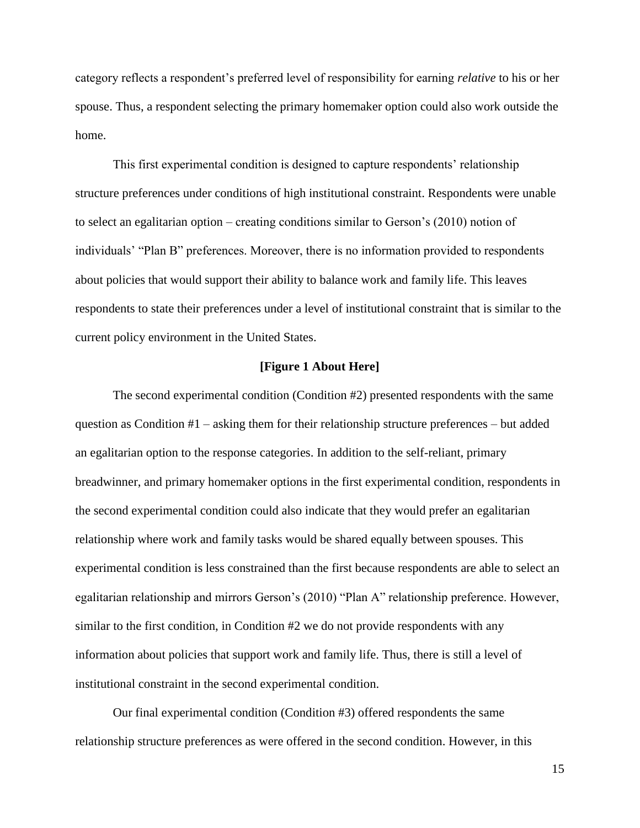category reflects a respondent's preferred level of responsibility for earning *relative* to his or her spouse. Thus, a respondent selecting the primary homemaker option could also work outside the home.

This first experimental condition is designed to capture respondents' relationship structure preferences under conditions of high institutional constraint. Respondents were unable to select an egalitarian option – creating conditions similar to Gerson's (2010) notion of individuals' "Plan B" preferences. Moreover, there is no information provided to respondents about policies that would support their ability to balance work and family life. This leaves respondents to state their preferences under a level of institutional constraint that is similar to the current policy environment in the United States.

#### **[Figure 1 About Here]**

The second experimental condition (Condition #2) presented respondents with the same question as Condition #1 – asking them for their relationship structure preferences – but added an egalitarian option to the response categories. In addition to the self-reliant, primary breadwinner, and primary homemaker options in the first experimental condition, respondents in the second experimental condition could also indicate that they would prefer an egalitarian relationship where work and family tasks would be shared equally between spouses. This experimental condition is less constrained than the first because respondents are able to select an egalitarian relationship and mirrors Gerson's (2010) "Plan A" relationship preference. However, similar to the first condition, in Condition  $#2$  we do not provide respondents with any information about policies that support work and family life. Thus, there is still a level of institutional constraint in the second experimental condition.

Our final experimental condition (Condition #3) offered respondents the same relationship structure preferences as were offered in the second condition. However, in this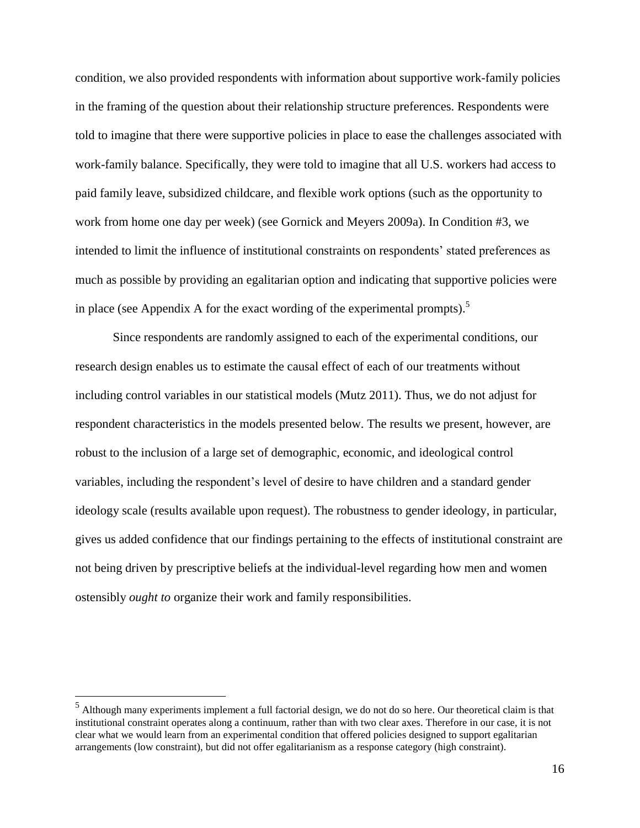condition, we also provided respondents with information about supportive work-family policies in the framing of the question about their relationship structure preferences. Respondents were told to imagine that there were supportive policies in place to ease the challenges associated with work-family balance. Specifically, they were told to imagine that all U.S. workers had access to paid family leave, subsidized childcare, and flexible work options (such as the opportunity to work from home one day per week) (see Gornick and Meyers 2009a). In Condition #3, we intended to limit the influence of institutional constraints on respondents' stated preferences as much as possible by providing an egalitarian option and indicating that supportive policies were in place (see Appendix A for the exact wording of the experimental prompts).<sup>5</sup>

Since respondents are randomly assigned to each of the experimental conditions, our research design enables us to estimate the causal effect of each of our treatments without including control variables in our statistical models (Mutz 2011). Thus, we do not adjust for respondent characteristics in the models presented below. The results we present, however, are robust to the inclusion of a large set of demographic, economic, and ideological control variables, including the respondent's level of desire to have children and a standard gender ideology scale (results available upon request). The robustness to gender ideology, in particular, gives us added confidence that our findings pertaining to the effects of institutional constraint are not being driven by prescriptive beliefs at the individual-level regarding how men and women ostensibly *ought to* organize their work and family responsibilities.

 $\overline{a}$ 

<sup>&</sup>lt;sup>5</sup> Although many experiments implement a full factorial design, we do not do so here. Our theoretical claim is that institutional constraint operates along a continuum, rather than with two clear axes. Therefore in our case, it is not clear what we would learn from an experimental condition that offered policies designed to support egalitarian arrangements (low constraint), but did not offer egalitarianism as a response category (high constraint).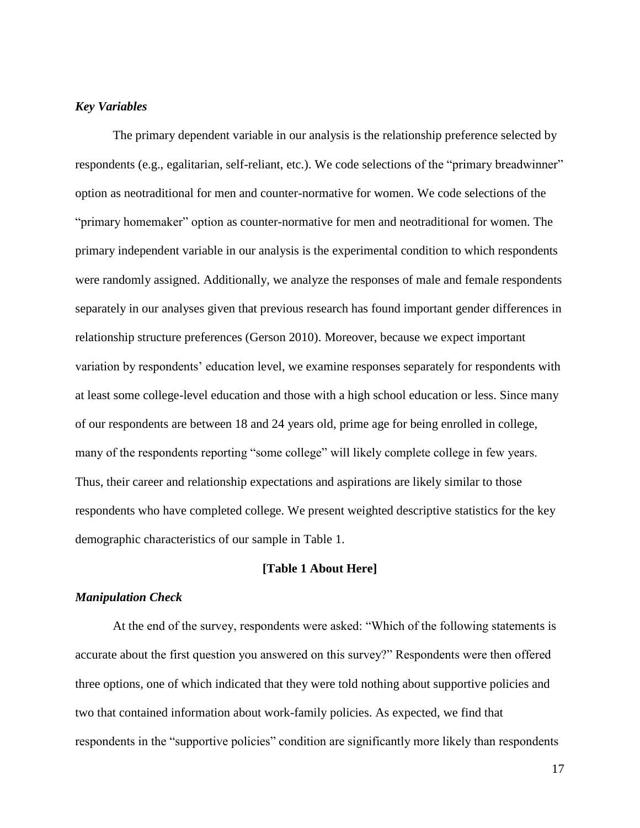#### *Key Variables*

The primary dependent variable in our analysis is the relationship preference selected by respondents (e.g., egalitarian, self-reliant, etc.). We code selections of the "primary breadwinner" option as neotraditional for men and counter-normative for women. We code selections of the "primary homemaker" option as counter-normative for men and neotraditional for women. The primary independent variable in our analysis is the experimental condition to which respondents were randomly assigned. Additionally, we analyze the responses of male and female respondents separately in our analyses given that previous research has found important gender differences in relationship structure preferences (Gerson 2010). Moreover, because we expect important variation by respondents' education level, we examine responses separately for respondents with at least some college-level education and those with a high school education or less. Since many of our respondents are between 18 and 24 years old, prime age for being enrolled in college, many of the respondents reporting "some college" will likely complete college in few years. Thus, their career and relationship expectations and aspirations are likely similar to those respondents who have completed college. We present weighted descriptive statistics for the key demographic characteristics of our sample in Table 1.

#### **[Table 1 About Here]**

#### *Manipulation Check*

At the end of the survey, respondents were asked: "Which of the following statements is accurate about the first question you answered on this survey?" Respondents were then offered three options, one of which indicated that they were told nothing about supportive policies and two that contained information about work-family policies. As expected, we find that respondents in the "supportive policies" condition are significantly more likely than respondents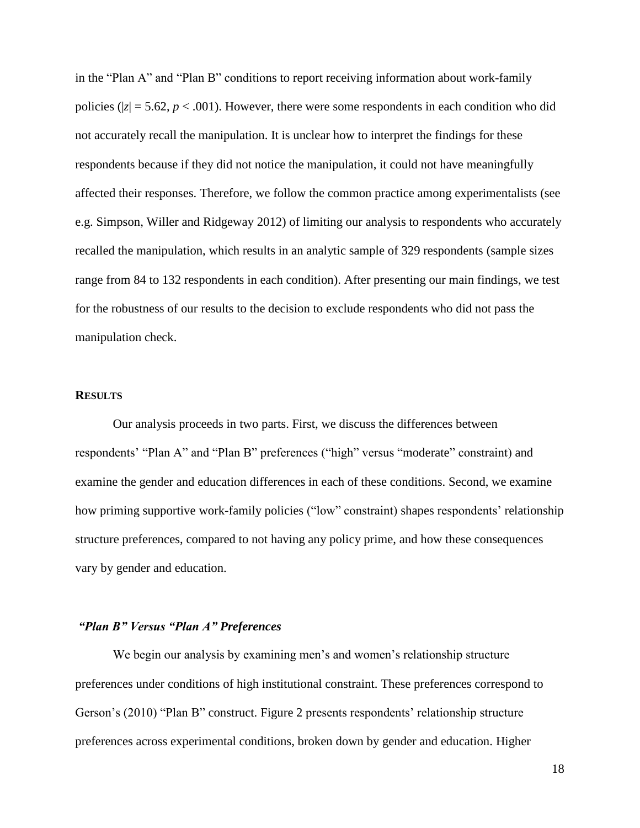in the "Plan A" and "Plan B" conditions to report receiving information about work-family policies ( $|z| = 5.62$ ,  $p < .001$ ). However, there were some respondents in each condition who did not accurately recall the manipulation. It is unclear how to interpret the findings for these respondents because if they did not notice the manipulation, it could not have meaningfully affected their responses. Therefore, we follow the common practice among experimentalists (see e.g. Simpson, Willer and Ridgeway 2012) of limiting our analysis to respondents who accurately recalled the manipulation, which results in an analytic sample of 329 respondents (sample sizes range from 84 to 132 respondents in each condition). After presenting our main findings, we test for the robustness of our results to the decision to exclude respondents who did not pass the manipulation check.

#### **RESULTS**

Our analysis proceeds in two parts. First, we discuss the differences between respondents' "Plan A" and "Plan B" preferences ("high" versus "moderate" constraint) and examine the gender and education differences in each of these conditions. Second, we examine how priming supportive work-family policies ("low" constraint) shapes respondents' relationship structure preferences, compared to not having any policy prime, and how these consequences vary by gender and education.

#### *"Plan B" Versus "Plan A" Preferences*

We begin our analysis by examining men's and women's relationship structure preferences under conditions of high institutional constraint. These preferences correspond to Gerson's (2010) "Plan B" construct. Figure 2 presents respondents' relationship structure preferences across experimental conditions, broken down by gender and education. Higher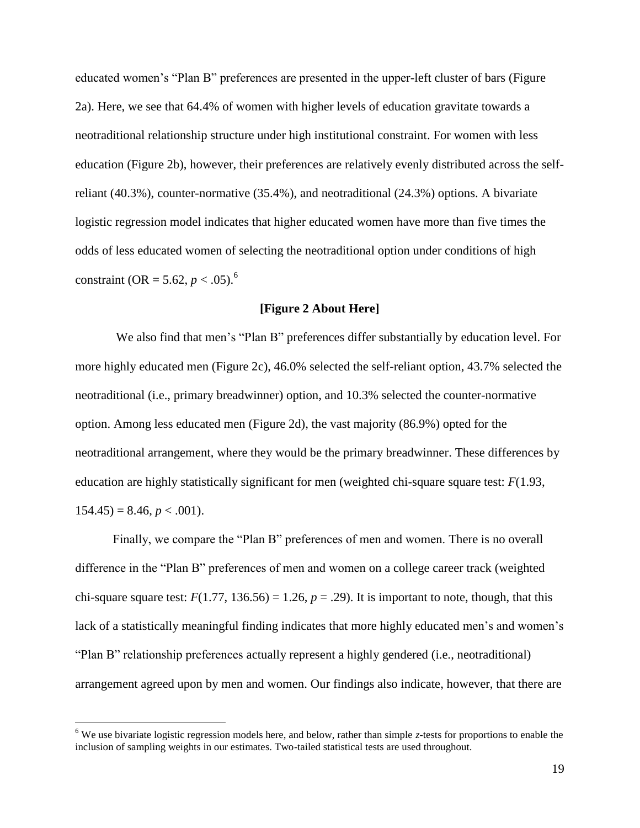educated women's "Plan B" preferences are presented in the upper-left cluster of bars (Figure 2a). Here, we see that 64.4% of women with higher levels of education gravitate towards a neotraditional relationship structure under high institutional constraint. For women with less education (Figure 2b), however, their preferences are relatively evenly distributed across the selfreliant (40.3%), counter-normative (35.4%), and neotraditional (24.3%) options. A bivariate logistic regression model indicates that higher educated women have more than five times the odds of less educated women of selecting the neotraditional option under conditions of high constraint (OR = 5.62,  $p < .05$ ).<sup>6</sup>

#### **[Figure 2 About Here]**

We also find that men's "Plan B" preferences differ substantially by education level. For more highly educated men (Figure 2c), 46.0% selected the self-reliant option, 43.7% selected the neotraditional (i.e., primary breadwinner) option, and 10.3% selected the counter-normative option. Among less educated men (Figure 2d), the vast majority (86.9%) opted for the neotraditional arrangement, where they would be the primary breadwinner. These differences by education are highly statistically significant for men (weighted chi-square square test: *F*(1.93,  $154.45$ ) = 8.46, *p* < .001).

Finally, we compare the "Plan B" preferences of men and women. There is no overall difference in the "Plan B" preferences of men and women on a college career track (weighted chi-square square test:  $F(1.77, 136.56) = 1.26$ ,  $p = .29$ ). It is important to note, though, that this lack of a statistically meaningful finding indicates that more highly educated men's and women's "Plan B" relationship preferences actually represent a highly gendered (i.e., neotraditional) arrangement agreed upon by men and women. Our findings also indicate, however, that there are

 $\overline{a}$ 

<sup>6</sup> We use bivariate logistic regression models here, and below, rather than simple *z*-tests for proportions to enable the inclusion of sampling weights in our estimates. Two-tailed statistical tests are used throughout.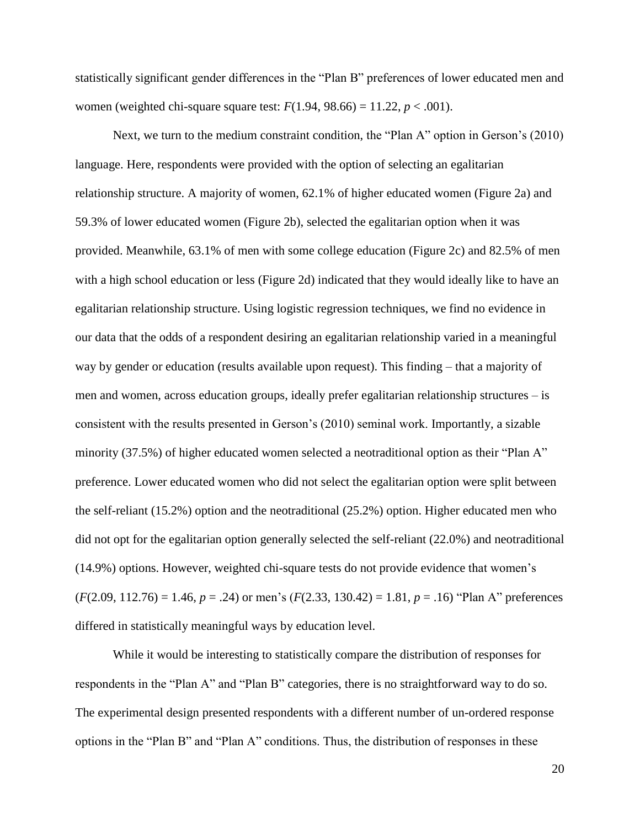statistically significant gender differences in the "Plan B" preferences of lower educated men and women (weighted chi-square square test:  $F(1.94, 98.66) = 11.22, p < .001$ ).

Next, we turn to the medium constraint condition, the "Plan A" option in Gerson's (2010) language. Here, respondents were provided with the option of selecting an egalitarian relationship structure. A majority of women, 62.1% of higher educated women (Figure 2a) and 59.3% of lower educated women (Figure 2b), selected the egalitarian option when it was provided. Meanwhile, 63.1% of men with some college education (Figure 2c) and 82.5% of men with a high school education or less (Figure 2d) indicated that they would ideally like to have an egalitarian relationship structure. Using logistic regression techniques, we find no evidence in our data that the odds of a respondent desiring an egalitarian relationship varied in a meaningful way by gender or education (results available upon request). This finding – that a majority of men and women, across education groups, ideally prefer egalitarian relationship structures – is consistent with the results presented in Gerson's (2010) seminal work. Importantly, a sizable minority (37.5%) of higher educated women selected a neotraditional option as their "Plan A" preference. Lower educated women who did not select the egalitarian option were split between the self-reliant (15.2%) option and the neotraditional (25.2%) option. Higher educated men who did not opt for the egalitarian option generally selected the self-reliant (22.0%) and neotraditional (14.9%) options. However, weighted chi-square tests do not provide evidence that women's (*F*(2.09, 112.76) = 1.46, *p* = .24) or men's (*F*(2.33, 130.42) = 1.81, *p* = .16) "Plan A" preferences differed in statistically meaningful ways by education level.

While it would be interesting to statistically compare the distribution of responses for respondents in the "Plan A" and "Plan B" categories, there is no straightforward way to do so. The experimental design presented respondents with a different number of un-ordered response options in the "Plan B" and "Plan A" conditions. Thus, the distribution of responses in these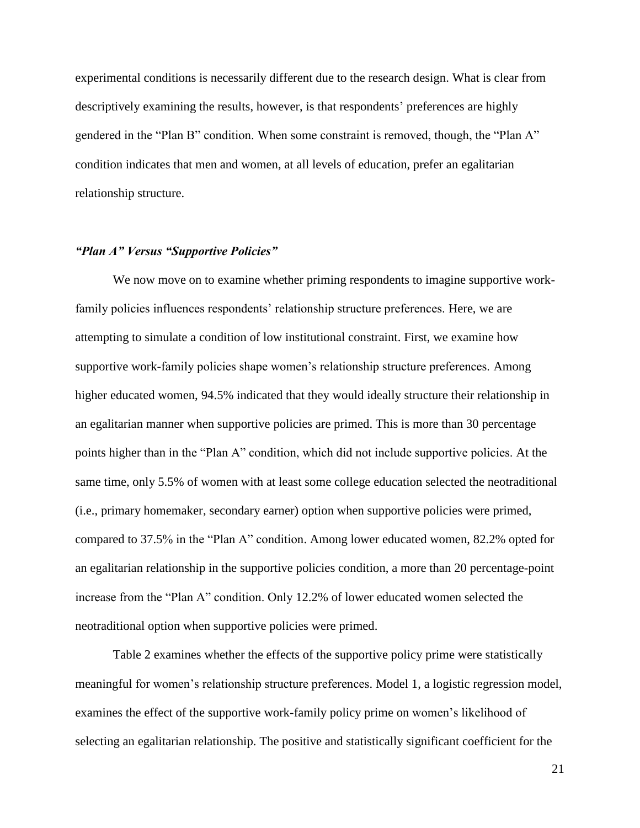experimental conditions is necessarily different due to the research design. What is clear from descriptively examining the results, however, is that respondents' preferences are highly gendered in the "Plan B" condition. When some constraint is removed, though, the "Plan A" condition indicates that men and women, at all levels of education, prefer an egalitarian relationship structure.

#### *"Plan A" Versus "Supportive Policies"*

We now move on to examine whether priming respondents to imagine supportive workfamily policies influences respondents' relationship structure preferences. Here, we are attempting to simulate a condition of low institutional constraint. First, we examine how supportive work-family policies shape women's relationship structure preferences. Among higher educated women, 94.5% indicated that they would ideally structure their relationship in an egalitarian manner when supportive policies are primed. This is more than 30 percentage points higher than in the "Plan A" condition, which did not include supportive policies. At the same time, only 5.5% of women with at least some college education selected the neotraditional (i.e., primary homemaker, secondary earner) option when supportive policies were primed, compared to 37.5% in the "Plan A" condition. Among lower educated women, 82.2% opted for an egalitarian relationship in the supportive policies condition, a more than 20 percentage-point increase from the "Plan A" condition. Only 12.2% of lower educated women selected the neotraditional option when supportive policies were primed.

Table 2 examines whether the effects of the supportive policy prime were statistically meaningful for women's relationship structure preferences. Model 1, a logistic regression model, examines the effect of the supportive work-family policy prime on women's likelihood of selecting an egalitarian relationship. The positive and statistically significant coefficient for the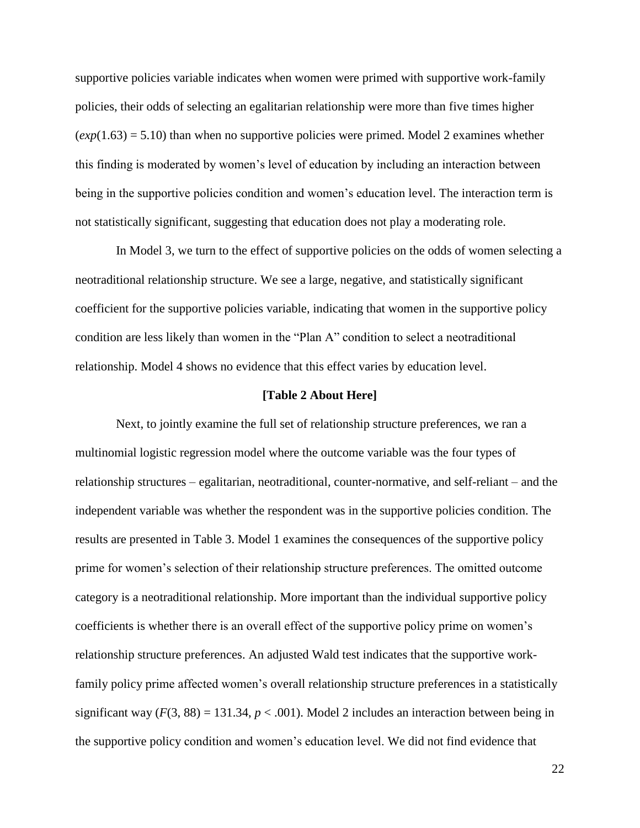supportive policies variable indicates when women were primed with supportive work-family policies, their odds of selecting an egalitarian relationship were more than five times higher  $(exp(1.63) = 5.10)$  than when no supportive policies were primed. Model 2 examines whether this finding is moderated by women's level of education by including an interaction between being in the supportive policies condition and women's education level. The interaction term is not statistically significant, suggesting that education does not play a moderating role.

In Model 3, we turn to the effect of supportive policies on the odds of women selecting a neotraditional relationship structure. We see a large, negative, and statistically significant coefficient for the supportive policies variable, indicating that women in the supportive policy condition are less likely than women in the "Plan A" condition to select a neotraditional relationship. Model 4 shows no evidence that this effect varies by education level.

#### **[Table 2 About Here]**

Next, to jointly examine the full set of relationship structure preferences, we ran a multinomial logistic regression model where the outcome variable was the four types of relationship structures – egalitarian, neotraditional, counter-normative, and self-reliant – and the independent variable was whether the respondent was in the supportive policies condition. The results are presented in Table 3. Model 1 examines the consequences of the supportive policy prime for women's selection of their relationship structure preferences. The omitted outcome category is a neotraditional relationship. More important than the individual supportive policy coefficients is whether there is an overall effect of the supportive policy prime on women's relationship structure preferences. An adjusted Wald test indicates that the supportive workfamily policy prime affected women's overall relationship structure preferences in a statistically significant way  $(F(3, 88) = 131.34, p < .001)$ . Model 2 includes an interaction between being in the supportive policy condition and women's education level. We did not find evidence that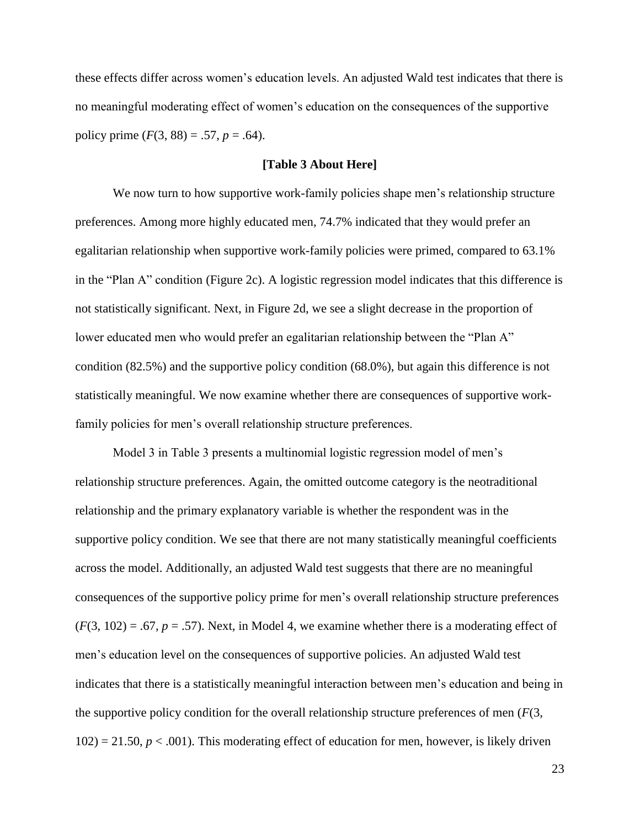these effects differ across women's education levels. An adjusted Wald test indicates that there is no meaningful moderating effect of women's education on the consequences of the supportive policy prime  $(F(3, 88) = .57, p = .64)$ .

#### **[Table 3 About Here]**

We now turn to how supportive work-family policies shape men's relationship structure preferences. Among more highly educated men, 74.7% indicated that they would prefer an egalitarian relationship when supportive work-family policies were primed, compared to 63.1% in the "Plan A" condition (Figure 2c). A logistic regression model indicates that this difference is not statistically significant. Next, in Figure 2d, we see a slight decrease in the proportion of lower educated men who would prefer an egalitarian relationship between the "Plan A" condition (82.5%) and the supportive policy condition (68.0%), but again this difference is not statistically meaningful. We now examine whether there are consequences of supportive workfamily policies for men's overall relationship structure preferences.

Model 3 in Table 3 presents a multinomial logistic regression model of men's relationship structure preferences. Again, the omitted outcome category is the neotraditional relationship and the primary explanatory variable is whether the respondent was in the supportive policy condition. We see that there are not many statistically meaningful coefficients across the model. Additionally, an adjusted Wald test suggests that there are no meaningful consequences of the supportive policy prime for men's overall relationship structure preferences  $(F(3, 102) = .67, p = .57)$ . Next, in Model 4, we examine whether there is a moderating effect of men's education level on the consequences of supportive policies. An adjusted Wald test indicates that there is a statistically meaningful interaction between men's education and being in the supportive policy condition for the overall relationship structure preferences of men (*F*(3,  $102$ ) = 21.50,  $p < .001$ ). This moderating effect of education for men, however, is likely driven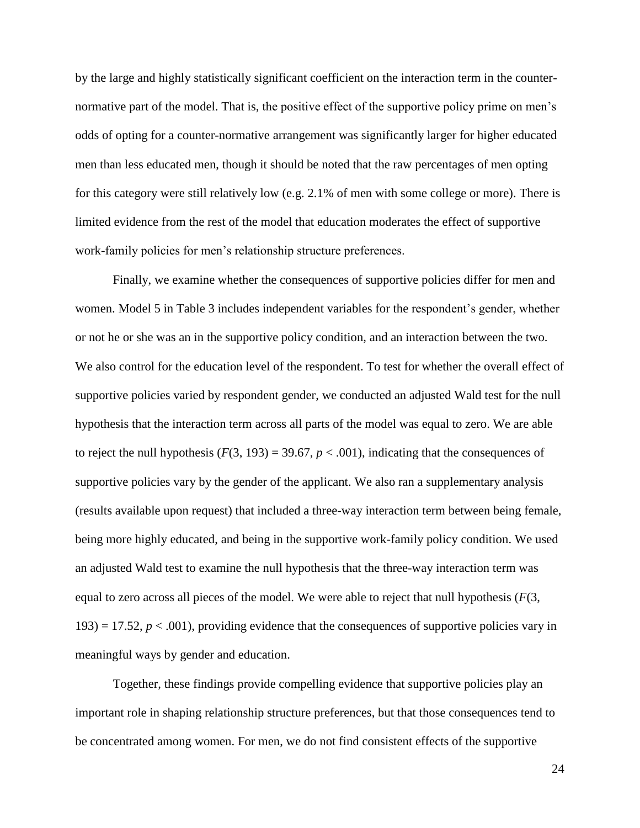by the large and highly statistically significant coefficient on the interaction term in the counternormative part of the model. That is, the positive effect of the supportive policy prime on men's odds of opting for a counter-normative arrangement was significantly larger for higher educated men than less educated men, though it should be noted that the raw percentages of men opting for this category were still relatively low (e.g. 2.1% of men with some college or more). There is limited evidence from the rest of the model that education moderates the effect of supportive work-family policies for men's relationship structure preferences.

Finally, we examine whether the consequences of supportive policies differ for men and women. Model 5 in Table 3 includes independent variables for the respondent's gender, whether or not he or she was an in the supportive policy condition, and an interaction between the two. We also control for the education level of the respondent. To test for whether the overall effect of supportive policies varied by respondent gender, we conducted an adjusted Wald test for the null hypothesis that the interaction term across all parts of the model was equal to zero. We are able to reject the null hypothesis  $(F(3, 193) = 39.67, p < .001)$ , indicating that the consequences of supportive policies vary by the gender of the applicant. We also ran a supplementary analysis (results available upon request) that included a three-way interaction term between being female, being more highly educated, and being in the supportive work-family policy condition. We used an adjusted Wald test to examine the null hypothesis that the three-way interaction term was equal to zero across all pieces of the model. We were able to reject that null hypothesis (*F*(3,  $193$ ) = 17.52,  $p < .001$ ), providing evidence that the consequences of supportive policies vary in meaningful ways by gender and education.

Together, these findings provide compelling evidence that supportive policies play an important role in shaping relationship structure preferences, but that those consequences tend to be concentrated among women. For men, we do not find consistent effects of the supportive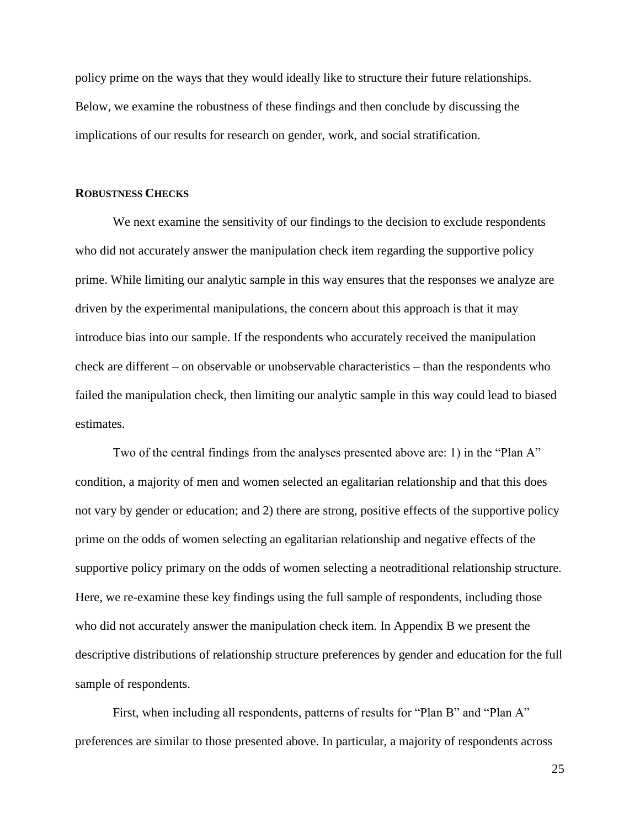policy prime on the ways that they would ideally like to structure their future relationships. Below, we examine the robustness of these findings and then conclude by discussing the implications of our results for research on gender, work, and social stratification.

#### **ROBUSTNESS CHECKS**

We next examine the sensitivity of our findings to the decision to exclude respondents who did not accurately answer the manipulation check item regarding the supportive policy prime. While limiting our analytic sample in this way ensures that the responses we analyze are driven by the experimental manipulations, the concern about this approach is that it may introduce bias into our sample. If the respondents who accurately received the manipulation check are different – on observable or unobservable characteristics – than the respondents who failed the manipulation check, then limiting our analytic sample in this way could lead to biased estimates.

Two of the central findings from the analyses presented above are: 1) in the "Plan A" condition, a majority of men and women selected an egalitarian relationship and that this does not vary by gender or education; and 2) there are strong, positive effects of the supportive policy prime on the odds of women selecting an egalitarian relationship and negative effects of the supportive policy primary on the odds of women selecting a neotraditional relationship structure. Here, we re-examine these key findings using the full sample of respondents, including those who did not accurately answer the manipulation check item. In Appendix B we present the descriptive distributions of relationship structure preferences by gender and education for the full sample of respondents.

First, when including all respondents, patterns of results for "Plan B" and "Plan A" preferences are similar to those presented above. In particular, a majority of respondents across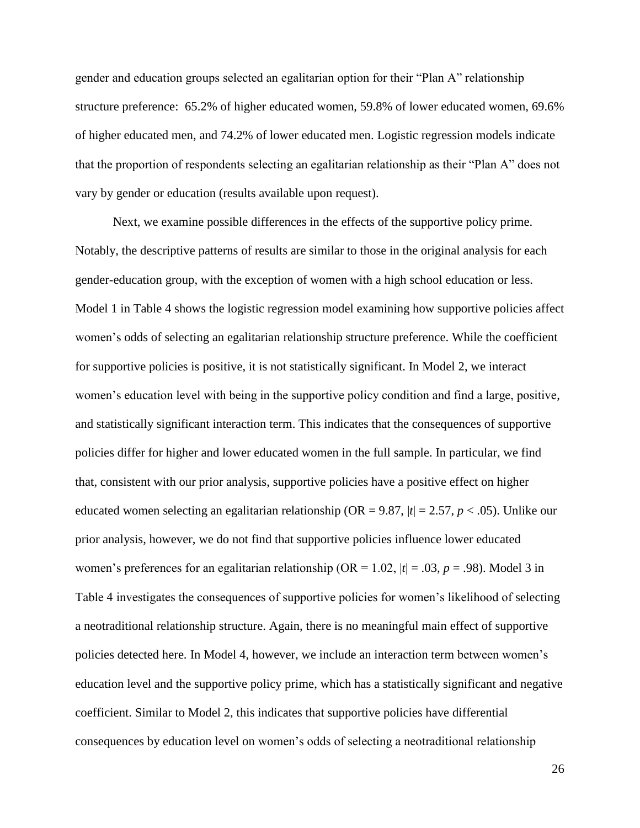gender and education groups selected an egalitarian option for their "Plan A" relationship structure preference: 65.2% of higher educated women, 59.8% of lower educated women, 69.6% of higher educated men, and 74.2% of lower educated men. Logistic regression models indicate that the proportion of respondents selecting an egalitarian relationship as their "Plan A" does not vary by gender or education (results available upon request).

Next, we examine possible differences in the effects of the supportive policy prime. Notably, the descriptive patterns of results are similar to those in the original analysis for each gender-education group, with the exception of women with a high school education or less. Model 1 in Table 4 shows the logistic regression model examining how supportive policies affect women's odds of selecting an egalitarian relationship structure preference. While the coefficient for supportive policies is positive, it is not statistically significant. In Model 2, we interact women's education level with being in the supportive policy condition and find a large, positive, and statistically significant interaction term. This indicates that the consequences of supportive policies differ for higher and lower educated women in the full sample. In particular, we find that, consistent with our prior analysis, supportive policies have a positive effect on higher educated women selecting an egalitarian relationship (OR = 9.87, |*t*| = 2.57, *p* < .05). Unlike our prior analysis, however, we do not find that supportive policies influence lower educated women's preferences for an egalitarian relationship (OR = 1.02,  $|t| = .03$ ,  $p = .98$ ). Model 3 in Table 4 investigates the consequences of supportive policies for women's likelihood of selecting a neotraditional relationship structure. Again, there is no meaningful main effect of supportive policies detected here. In Model 4, however, we include an interaction term between women's education level and the supportive policy prime, which has a statistically significant and negative coefficient. Similar to Model 2, this indicates that supportive policies have differential consequences by education level on women's odds of selecting a neotraditional relationship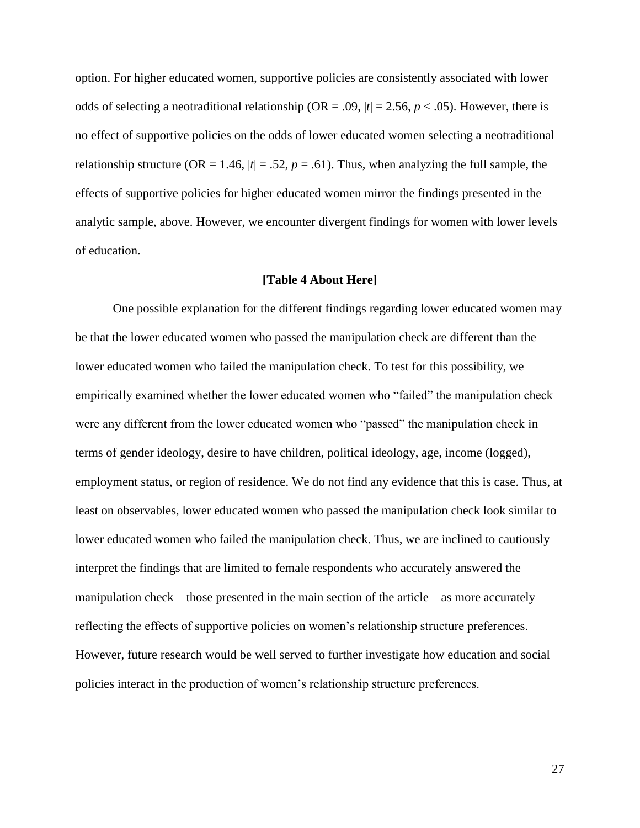option. For higher educated women, supportive policies are consistently associated with lower odds of selecting a neotraditional relationship (OR = .09,  $|t| = 2.56$ ,  $p < .05$ ). However, there is no effect of supportive policies on the odds of lower educated women selecting a neotraditional relationship structure (OR = 1.46,  $|t| = .52$ ,  $p = .61$ ). Thus, when analyzing the full sample, the effects of supportive policies for higher educated women mirror the findings presented in the analytic sample, above. However, we encounter divergent findings for women with lower levels of education.

#### **[Table 4 About Here]**

One possible explanation for the different findings regarding lower educated women may be that the lower educated women who passed the manipulation check are different than the lower educated women who failed the manipulation check. To test for this possibility, we empirically examined whether the lower educated women who "failed" the manipulation check were any different from the lower educated women who "passed" the manipulation check in terms of gender ideology, desire to have children, political ideology, age, income (logged), employment status, or region of residence. We do not find any evidence that this is case. Thus, at least on observables, lower educated women who passed the manipulation check look similar to lower educated women who failed the manipulation check. Thus, we are inclined to cautiously interpret the findings that are limited to female respondents who accurately answered the manipulation check – those presented in the main section of the article – as more accurately reflecting the effects of supportive policies on women's relationship structure preferences. However, future research would be well served to further investigate how education and social policies interact in the production of women's relationship structure preferences.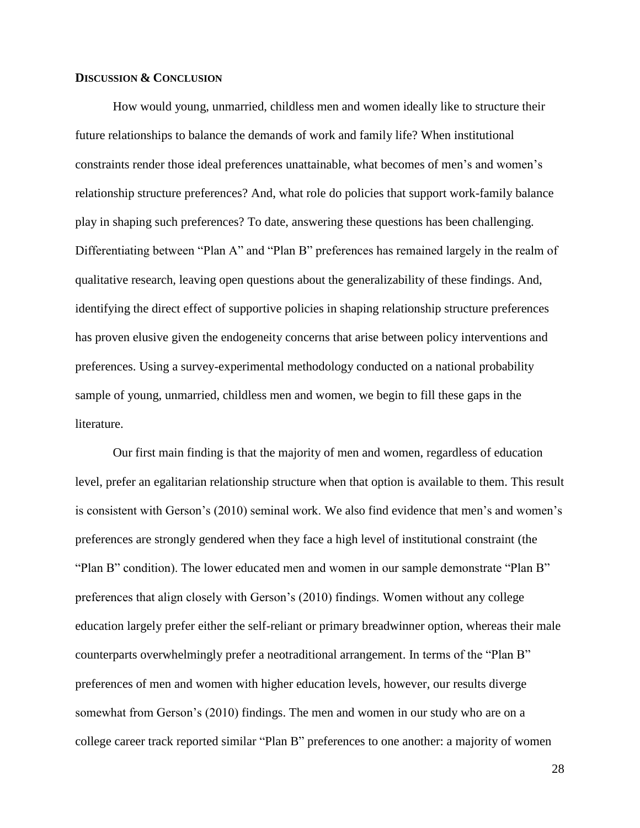#### **DISCUSSION & CONCLUSION**

How would young, unmarried, childless men and women ideally like to structure their future relationships to balance the demands of work and family life? When institutional constraints render those ideal preferences unattainable, what becomes of men's and women's relationship structure preferences? And, what role do policies that support work-family balance play in shaping such preferences? To date, answering these questions has been challenging. Differentiating between "Plan A" and "Plan B" preferences has remained largely in the realm of qualitative research, leaving open questions about the generalizability of these findings. And, identifying the direct effect of supportive policies in shaping relationship structure preferences has proven elusive given the endogeneity concerns that arise between policy interventions and preferences. Using a survey-experimental methodology conducted on a national probability sample of young, unmarried, childless men and women, we begin to fill these gaps in the literature.

Our first main finding is that the majority of men and women, regardless of education level, prefer an egalitarian relationship structure when that option is available to them. This result is consistent with Gerson's (2010) seminal work. We also find evidence that men's and women's preferences are strongly gendered when they face a high level of institutional constraint (the "Plan B" condition). The lower educated men and women in our sample demonstrate "Plan B" preferences that align closely with Gerson's (2010) findings. Women without any college education largely prefer either the self-reliant or primary breadwinner option, whereas their male counterparts overwhelmingly prefer a neotraditional arrangement. In terms of the "Plan B" preferences of men and women with higher education levels, however, our results diverge somewhat from Gerson's (2010) findings. The men and women in our study who are on a college career track reported similar "Plan B" preferences to one another: a majority of women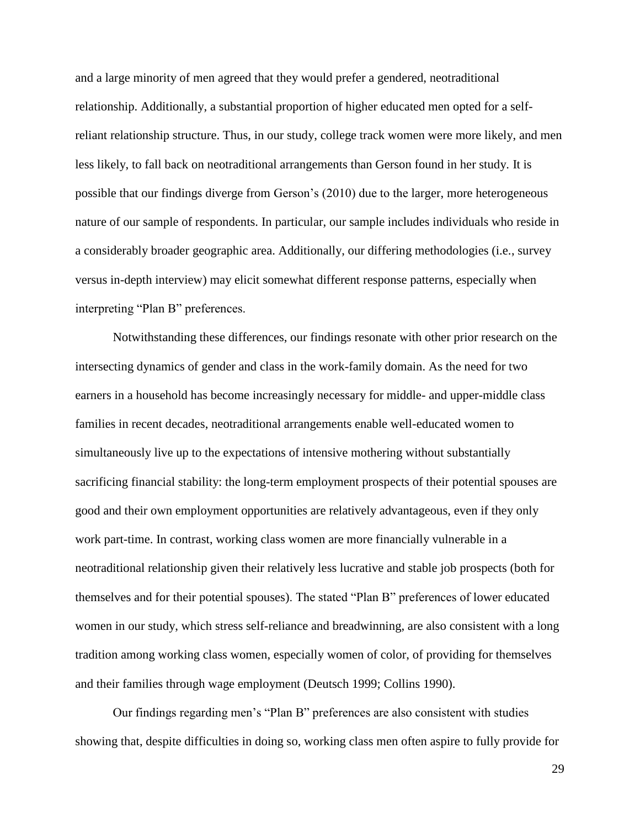and a large minority of men agreed that they would prefer a gendered, neotraditional relationship. Additionally, a substantial proportion of higher educated men opted for a selfreliant relationship structure. Thus, in our study, college track women were more likely, and men less likely, to fall back on neotraditional arrangements than Gerson found in her study. It is possible that our findings diverge from Gerson's (2010) due to the larger, more heterogeneous nature of our sample of respondents. In particular, our sample includes individuals who reside in a considerably broader geographic area. Additionally, our differing methodologies (i.e., survey versus in-depth interview) may elicit somewhat different response patterns, especially when interpreting "Plan B" preferences.

Notwithstanding these differences, our findings resonate with other prior research on the intersecting dynamics of gender and class in the work-family domain. As the need for two earners in a household has become increasingly necessary for middle- and upper-middle class families in recent decades, neotraditional arrangements enable well-educated women to simultaneously live up to the expectations of intensive mothering without substantially sacrificing financial stability: the long-term employment prospects of their potential spouses are good and their own employment opportunities are relatively advantageous, even if they only work part-time. In contrast, working class women are more financially vulnerable in a neotraditional relationship given their relatively less lucrative and stable job prospects (both for themselves and for their potential spouses). The stated "Plan B" preferences of lower educated women in our study, which stress self-reliance and breadwinning, are also consistent with a long tradition among working class women, especially women of color, of providing for themselves and their families through wage employment (Deutsch 1999; Collins 1990).

Our findings regarding men's "Plan B" preferences are also consistent with studies showing that, despite difficulties in doing so, working class men often aspire to fully provide for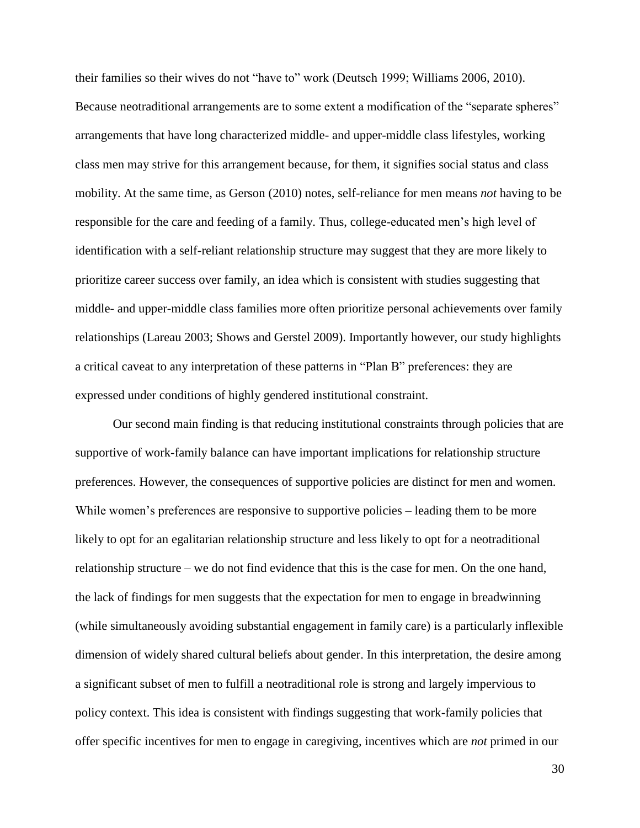their families so their wives do not "have to" work (Deutsch 1999; Williams 2006, 2010). Because neotraditional arrangements are to some extent a modification of the "separate spheres" arrangements that have long characterized middle- and upper-middle class lifestyles, working class men may strive for this arrangement because, for them, it signifies social status and class mobility. At the same time, as Gerson (2010) notes, self-reliance for men means *not* having to be responsible for the care and feeding of a family. Thus, college-educated men's high level of identification with a self-reliant relationship structure may suggest that they are more likely to prioritize career success over family, an idea which is consistent with studies suggesting that middle- and upper-middle class families more often prioritize personal achievements over family relationships (Lareau 2003; Shows and Gerstel 2009). Importantly however, our study highlights a critical caveat to any interpretation of these patterns in "Plan B" preferences: they are expressed under conditions of highly gendered institutional constraint.

Our second main finding is that reducing institutional constraints through policies that are supportive of work-family balance can have important implications for relationship structure preferences. However, the consequences of supportive policies are distinct for men and women. While women's preferences are responsive to supportive policies – leading them to be more likely to opt for an egalitarian relationship structure and less likely to opt for a neotraditional relationship structure – we do not find evidence that this is the case for men. On the one hand, the lack of findings for men suggests that the expectation for men to engage in breadwinning (while simultaneously avoiding substantial engagement in family care) is a particularly inflexible dimension of widely shared cultural beliefs about gender. In this interpretation, the desire among a significant subset of men to fulfill a neotraditional role is strong and largely impervious to policy context. This idea is consistent with findings suggesting that work-family policies that offer specific incentives for men to engage in caregiving, incentives which are *not* primed in our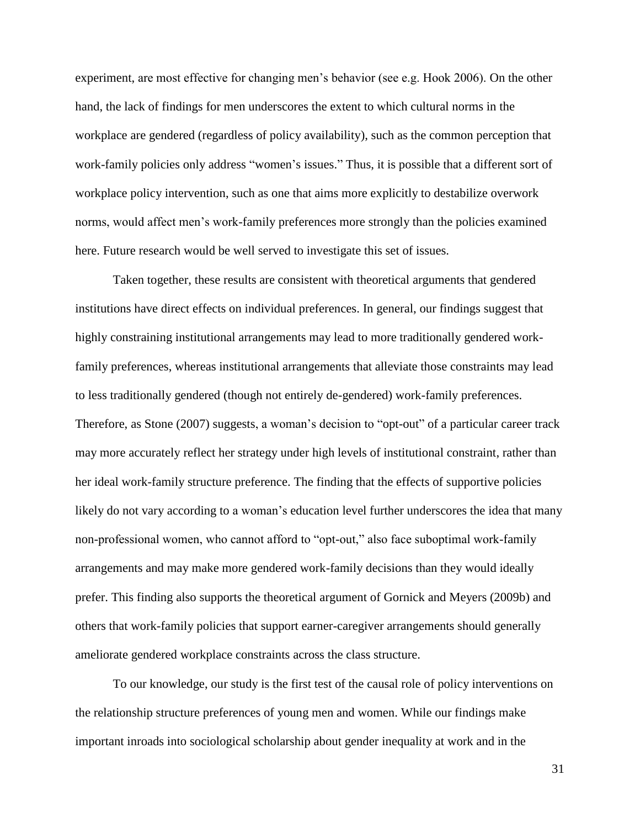experiment, are most effective for changing men's behavior (see e.g. Hook 2006). On the other hand, the lack of findings for men underscores the extent to which cultural norms in the workplace are gendered (regardless of policy availability), such as the common perception that work-family policies only address "women's issues." Thus, it is possible that a different sort of workplace policy intervention, such as one that aims more explicitly to destabilize overwork norms, would affect men's work-family preferences more strongly than the policies examined here. Future research would be well served to investigate this set of issues.

Taken together, these results are consistent with theoretical arguments that gendered institutions have direct effects on individual preferences. In general, our findings suggest that highly constraining institutional arrangements may lead to more traditionally gendered workfamily preferences, whereas institutional arrangements that alleviate those constraints may lead to less traditionally gendered (though not entirely de-gendered) work-family preferences. Therefore, as Stone (2007) suggests, a woman's decision to "opt-out" of a particular career track may more accurately reflect her strategy under high levels of institutional constraint, rather than her ideal work-family structure preference. The finding that the effects of supportive policies likely do not vary according to a woman's education level further underscores the idea that many non-professional women, who cannot afford to "opt-out," also face suboptimal work-family arrangements and may make more gendered work-family decisions than they would ideally prefer. This finding also supports the theoretical argument of Gornick and Meyers (2009b) and others that work-family policies that support earner-caregiver arrangements should generally ameliorate gendered workplace constraints across the class structure.

To our knowledge, our study is the first test of the causal role of policy interventions on the relationship structure preferences of young men and women. While our findings make important inroads into sociological scholarship about gender inequality at work and in the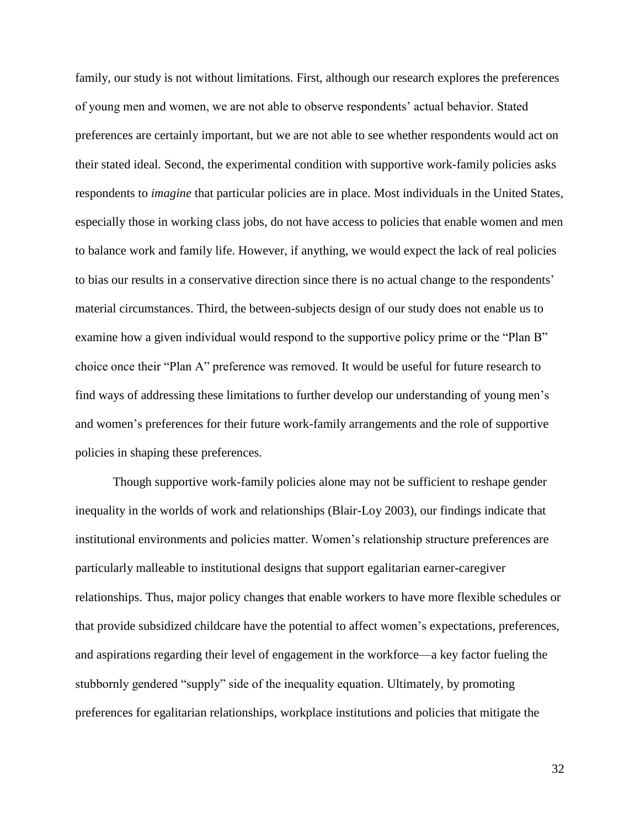family, our study is not without limitations. First, although our research explores the preferences of young men and women, we are not able to observe respondents' actual behavior. Stated preferences are certainly important, but we are not able to see whether respondents would act on their stated ideal. Second, the experimental condition with supportive work-family policies asks respondents to *imagine* that particular policies are in place. Most individuals in the United States, especially those in working class jobs, do not have access to policies that enable women and men to balance work and family life. However, if anything, we would expect the lack of real policies to bias our results in a conservative direction since there is no actual change to the respondents' material circumstances. Third, the between-subjects design of our study does not enable us to examine how a given individual would respond to the supportive policy prime or the "Plan B" choice once their "Plan A" preference was removed. It would be useful for future research to find ways of addressing these limitations to further develop our understanding of young men's and women's preferences for their future work-family arrangements and the role of supportive policies in shaping these preferences.

Though supportive work-family policies alone may not be sufficient to reshape gender inequality in the worlds of work and relationships (Blair-Loy 2003), our findings indicate that institutional environments and policies matter. Women's relationship structure preferences are particularly malleable to institutional designs that support egalitarian earner-caregiver relationships. Thus, major policy changes that enable workers to have more flexible schedules or that provide subsidized childcare have the potential to affect women's expectations, preferences, and aspirations regarding their level of engagement in the workforce—a key factor fueling the stubbornly gendered "supply" side of the inequality equation. Ultimately, by promoting preferences for egalitarian relationships, workplace institutions and policies that mitigate the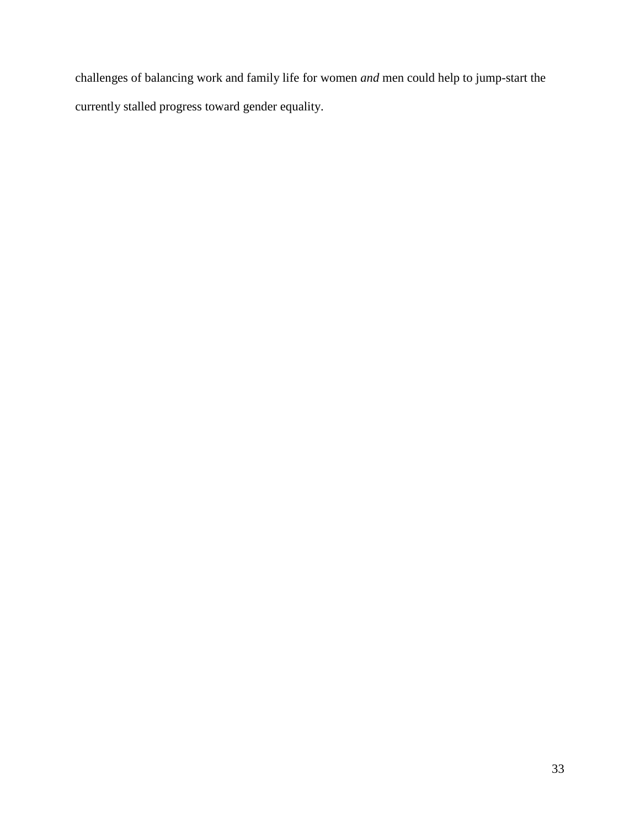challenges of balancing work and family life for women *and* men could help to jump-start the currently stalled progress toward gender equality.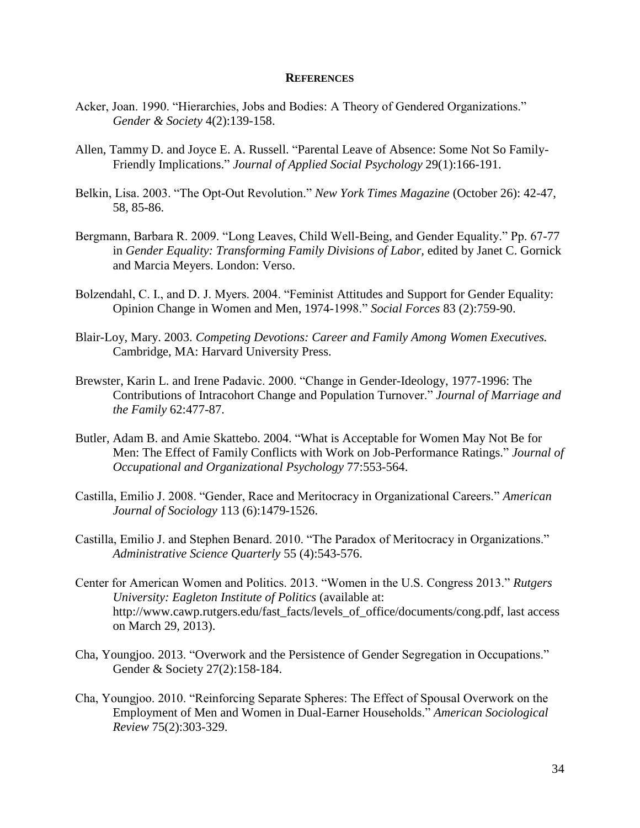#### **REFERENCES**

- Acker, Joan. 1990. "Hierarchies, Jobs and Bodies: A Theory of Gendered Organizations." *Gender & Society* 4(2):139-158.
- Allen, Tammy D. and Joyce E. A. Russell. "Parental Leave of Absence: Some Not So Family-Friendly Implications." *Journal of Applied Social Psychology* 29(1):166-191.
- Belkin, Lisa. 2003. "The Opt-Out Revolution." *New York Times Magazine* (October 26): 42-47, 58, 85-86.
- Bergmann, Barbara R. 2009. "Long Leaves, Child Well-Being, and Gender Equality." Pp. 67-77 in *Gender Equality: Transforming Family Divisions of Labor*, edited by Janet C. Gornick and Marcia Meyers. London: Verso.
- Bolzendahl, C. I., and D. J. Myers. 2004. "Feminist Attitudes and Support for Gender Equality: Opinion Change in Women and Men, 1974-1998." *Social Forces* 83 (2):759-90.
- Blair-Loy, Mary. 2003. *Competing Devotions: Career and Family Among Women Executives.*  Cambridge, MA: Harvard University Press.
- Brewster, Karin L. and Irene Padavic. 2000. "Change in Gender-Ideology, 1977-1996: The Contributions of Intracohort Change and Population Turnover." *Journal of Marriage and the Family* 62:477-87.
- Butler, Adam B. and Amie Skattebo. 2004. "What is Acceptable for Women May Not Be for Men: The Effect of Family Conflicts with Work on Job-Performance Ratings." *Journal of Occupational and Organizational Psychology* 77:553-564.
- Castilla, Emilio J. 2008. "Gender, Race and Meritocracy in Organizational Careers." *American Journal of Sociology* 113 (6):1479-1526.
- Castilla, Emilio J. and Stephen Benard. 2010. "The Paradox of Meritocracy in Organizations." *Administrative Science Quarterly* 55 (4):543-576.
- Center for American Women and Politics. 2013. "Women in the U.S. Congress 2013." *Rutgers University: Eagleton Institute of Politics* (available at: http://www.cawp.rutgers.edu/fast\_facts/levels\_of\_office/documents/cong.pdf, last access on March 29, 2013).
- Cha, Youngjoo. 2013. "Overwork and the Persistence of Gender Segregation in Occupations." Gender & Society 27(2):158-184.
- Cha, Youngjoo. 2010. "Reinforcing Separate Spheres: The Effect of Spousal Overwork on the Employment of Men and Women in Dual-Earner Households." *American Sociological Review* 75(2):303-329.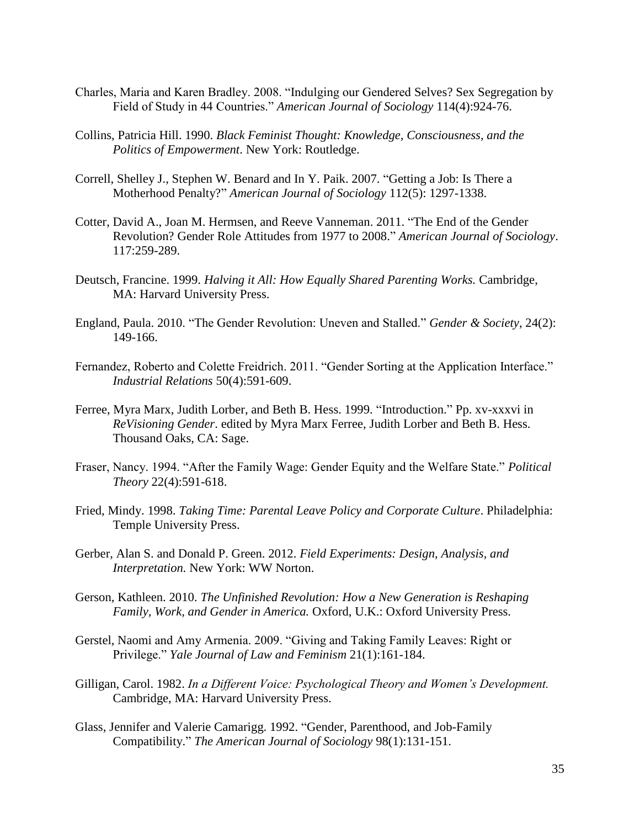- Charles, Maria and Karen Bradley. 2008. "Indulging our Gendered Selves? Sex Segregation by Field of Study in 44 Countries." *American Journal of Sociology* 114(4):924-76.
- Collins, Patricia Hill. 1990. *Black Feminist Thought: Knowledge, Consciousness, and the Politics of Empowerment*. New York: Routledge.
- Correll, Shelley J., Stephen W. Benard and In Y. Paik. 2007. "Getting a Job: Is There a Motherhood Penalty?" *American Journal of Sociology* 112(5): 1297-1338.
- Cotter, David A., Joan M. Hermsen, and Reeve Vanneman. 2011. "The End of the Gender Revolution? Gender Role Attitudes from 1977 to 2008." *American Journal of Sociology*. 117:259-289.
- Deutsch, Francine. 1999. *Halving it All: How Equally Shared Parenting Works.* Cambridge, MA: Harvard University Press.
- England, Paula. 2010. "The Gender Revolution: Uneven and Stalled." *Gender & Society*, 24(2): 149-166.
- Fernandez, Roberto and Colette Freidrich. 2011. "Gender Sorting at the Application Interface." *Industrial Relations* 50(4):591-609.
- Ferree, Myra Marx, Judith Lorber, and Beth B. Hess. 1999. "Introduction." Pp. xv-xxxvi in *ReVisioning Gender*. edited by Myra Marx Ferree, Judith Lorber and Beth B. Hess. Thousand Oaks, CA: Sage.
- Fraser, Nancy. 1994. "After the Family Wage: Gender Equity and the Welfare State." *Political Theory* 22(4):591-618.
- Fried, Mindy. 1998. *Taking Time: Parental Leave Policy and Corporate Culture*. Philadelphia: Temple University Press.
- Gerber, Alan S. and Donald P. Green. 2012. *Field Experiments: Design, Analysis, and Interpretation.* New York: WW Norton.
- Gerson, Kathleen. 2010. *The Unfinished Revolution: How a New Generation is Reshaping Family, Work, and Gender in America.* Oxford, U.K.: Oxford University Press.
- Gerstel, Naomi and Amy Armenia. 2009. "Giving and Taking Family Leaves: Right or Privilege." *Yale Journal of Law and Feminism* 21(1):161-184.
- Gilligan, Carol. 1982. *In a Different Voice: Psychological Theory and Women's Development.*  Cambridge, MA: Harvard University Press.
- Glass, Jennifer and Valerie Camarigg. 1992. "Gender, Parenthood, and Job-Family Compatibility." *The American Journal of Sociology* 98(1):131-151.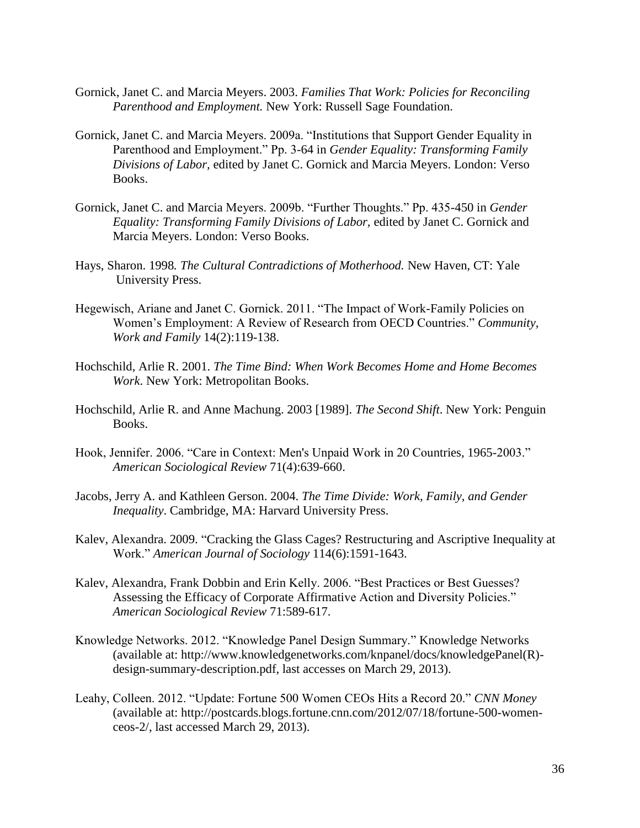- Gornick, Janet C. and Marcia Meyers. 2003. *Families That Work: Policies for Reconciling Parenthood and Employment.* New York: Russell Sage Foundation.
- Gornick, Janet C. and Marcia Meyers. 2009a. "Institutions that Support Gender Equality in Parenthood and Employment." Pp. 3-64 in *Gender Equality: Transforming Family Divisions of Labor,* edited by Janet C. Gornick and Marcia Meyers. London: Verso Books.
- Gornick, Janet C. and Marcia Meyers. 2009b. "Further Thoughts." Pp. 435-450 in *Gender Equality: Transforming Family Divisions of Labor,* edited by Janet C. Gornick and Marcia Meyers. London: Verso Books.
- Hays, Sharon. 1998*. The Cultural Contradictions of Motherhood.* New Haven, CT: Yale University Press.
- Hegewisch, Ariane and Janet C. Gornick. 2011. "The Impact of Work-Family Policies on Women's Employment: A Review of Research from OECD Countries." *Community, Work and Family* 14(2):119-138.
- Hochschild, Arlie R. 2001. *The Time Bind: When Work Becomes Home and Home Becomes Work*. New York: Metropolitan Books.
- Hochschild, Arlie R. and Anne Machung. 2003 [1989]. *The Second Shift*. New York: Penguin Books.
- Hook, Jennifer. 2006. "Care in Context: Men's Unpaid Work in 20 Countries, 1965-2003." *American Sociological Review* 71(4):639-660.
- Jacobs, Jerry A. and Kathleen Gerson. 2004. *The Time Divide: Work, Family, and Gender Inequality*. Cambridge, MA: Harvard University Press.
- Kalev, Alexandra. 2009. "Cracking the Glass Cages? Restructuring and Ascriptive Inequality at Work." *American Journal of Sociology* 114(6):1591-1643.
- Kalev, Alexandra, Frank Dobbin and Erin Kelly. 2006. "Best Practices or Best Guesses? Assessing the Efficacy of Corporate Affirmative Action and Diversity Policies." *American Sociological Review* 71:589-617.
- Knowledge Networks. 2012. "Knowledge Panel Design Summary." Knowledge Networks (available at: http://www.knowledgenetworks.com/knpanel/docs/knowledgePanel(R) design-summary-description.pdf, last accesses on March 29, 2013).
- Leahy, Colleen. 2012. "Update: Fortune 500 Women CEOs Hits a Record 20." *CNN Money* (available at: http://postcards.blogs.fortune.cnn.com/2012/07/18/fortune-500-womenceos-2/, last accessed March 29, 2013).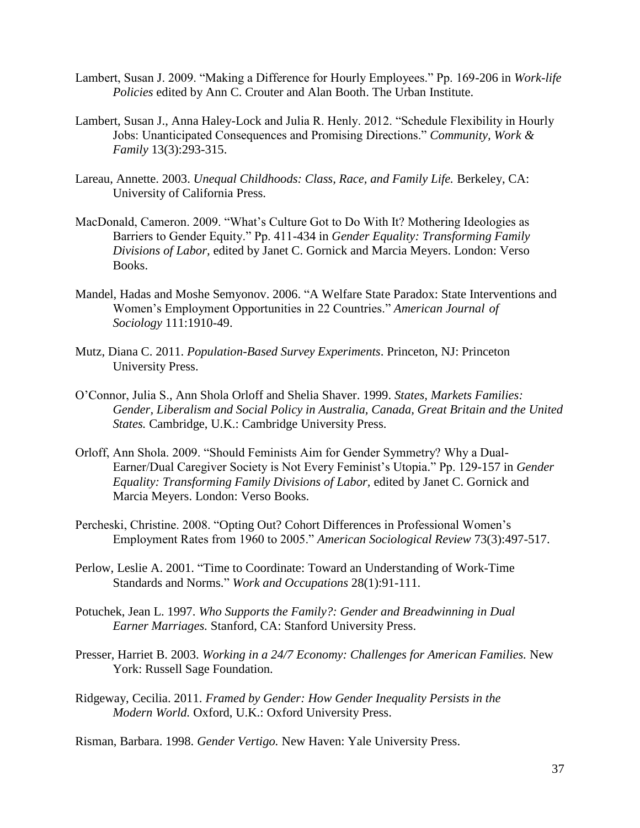- Lambert, Susan J. 2009. "Making a Difference for Hourly Employees." Pp. 169-206 in *Work-life Policies* edited by Ann C. Crouter and Alan Booth. The Urban Institute.
- Lambert, Susan J., Anna Haley-Lock and Julia R. Henly. 2012. "Schedule Flexibility in Hourly Jobs: Unanticipated Consequences and Promising Directions." *Community, Work & Family* 13(3):293-315.
- Lareau, Annette. 2003. *Unequal Childhoods: Class, Race, and Family Life.* Berkeley, CA: University of California Press.
- MacDonald, Cameron. 2009. "What's Culture Got to Do With It? Mothering Ideologies as Barriers to Gender Equity." Pp. 411-434 in *Gender Equality: Transforming Family Divisions of Labor,* edited by Janet C. Gornick and Marcia Meyers. London: Verso Books.
- Mandel, Hadas and Moshe Semyonov. 2006. "A Welfare State Paradox: State Interventions and Women's Employment Opportunities in 22 Countries." *American Journal of Sociology* 111:1910-49.
- Mutz, Diana C. 2011. *Population-Based Survey Experiments*. Princeton, NJ: Princeton University Press.
- O'Connor, Julia S., Ann Shola Orloff and Shelia Shaver. 1999. *States, Markets Families: Gender, Liberalism and Social Policy in Australia, Canada, Great Britain and the United States.* Cambridge, U.K.: Cambridge University Press.
- Orloff, Ann Shola. 2009. "Should Feminists Aim for Gender Symmetry? Why a Dual-Earner/Dual Caregiver Society is Not Every Feminist's Utopia." Pp. 129-157 in *Gender Equality: Transforming Family Divisions of Labor,* edited by Janet C. Gornick and Marcia Meyers. London: Verso Books.
- Percheski, Christine. 2008. "Opting Out? Cohort Differences in Professional Women's Employment Rates from 1960 to 2005." *American Sociological Review* 73(3):497-517.
- Perlow, Leslie A. 2001. "Time to Coordinate: Toward an Understanding of Work-Time Standards and Norms." *Work and Occupations* 28(1):91-111.
- Potuchek, Jean L. 1997. *Who Supports the Family?: Gender and Breadwinning in Dual Earner Marriages.* Stanford, CA: Stanford University Press.
- Presser, Harriet B. 2003. *Working in a 24/7 Economy: Challenges for American Families.* New York: Russell Sage Foundation.
- Ridgeway, Cecilia. 2011. *Framed by Gender: How Gender Inequality Persists in the Modern World.* Oxford, U.K.: Oxford University Press.

Risman, Barbara. 1998. *Gender Vertigo.* New Haven: Yale University Press.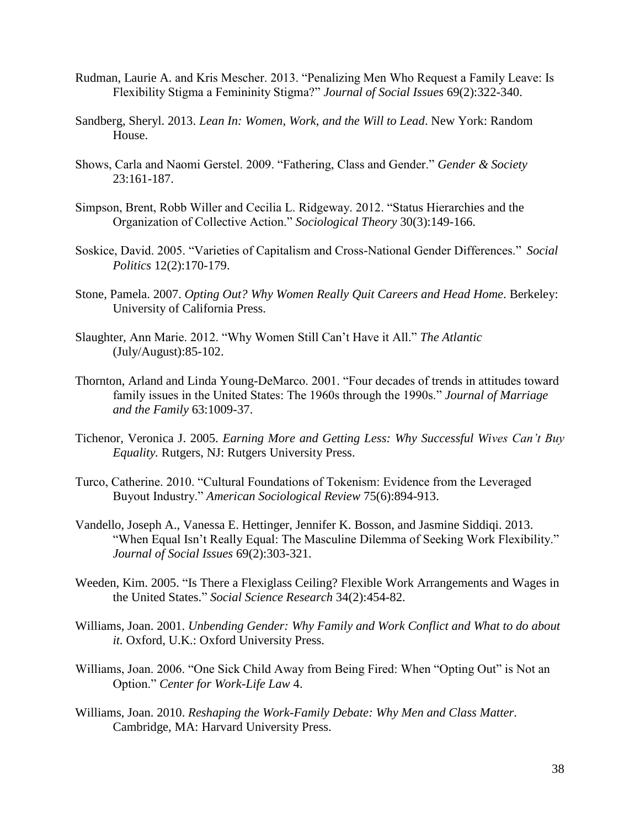- Rudman, Laurie A. and Kris Mescher. 2013. "Penalizing Men Who Request a Family Leave: Is Flexibility Stigma a Femininity Stigma?" *Journal of Social Issues* 69(2):322-340.
- Sandberg, Sheryl. 2013. *Lean In: Women, Work, and the Will to Lead*. New York: Random House.
- Shows, Carla and Naomi Gerstel. 2009. "Fathering, Class and Gender." *Gender & Society*  23:161-187.
- Simpson, Brent, Robb Willer and Cecilia L. Ridgeway. 2012. "Status Hierarchies and the Organization of Collective Action." *Sociological Theory* 30(3):149-166.
- Soskice, David. 2005. "Varieties of Capitalism and Cross-National Gender Differences." *Social Politics* 12(2):170-179.
- Stone, Pamela. 2007. *Opting Out? Why Women Really Quit Careers and Head Home*. Berkeley: University of California Press.
- Slaughter, Ann Marie. 2012. "Why Women Still Can't Have it All." *The Atlantic*  (July/August):85-102.
- Thornton, Arland and Linda Young-DeMarco. 2001. "Four decades of trends in attitudes toward family issues in the United States: The 1960s through the 1990s." *Journal of Marriage and the Family* 63:1009-37.
- Tichenor, Veronica J. 2005. *Earning More and Getting Less: Why Successful Wives Can't Buy Equality.* Rutgers, NJ: Rutgers University Press.
- Turco, Catherine. 2010. "Cultural Foundations of Tokenism: Evidence from the Leveraged Buyout Industry." *American Sociological Review* 75(6):894-913.
- Vandello, Joseph A., Vanessa E. Hettinger, Jennifer K. Bosson, and Jasmine Siddiqi. 2013. "When Equal Isn't Really Equal: The Masculine Dilemma of Seeking Work Flexibility." *Journal of Social Issues* 69(2):303-321.
- Weeden, Kim. 2005. "Is There a Flexiglass Ceiling? Flexible Work Arrangements and Wages in the United States." *Social Science Research* 34(2):454-82.
- Williams, Joan. 2001. *Unbending Gender: Why Family and Work Conflict and What to do about it.* Oxford, U.K.: Oxford University Press.
- Williams, Joan. 2006. "One Sick Child Away from Being Fired: When "Opting Out" is Not an Option." *Center for Work-Life Law* 4.
- Williams, Joan. 2010. *Reshaping the Work-Family Debate: Why Men and Class Matter.*  Cambridge, MA: Harvard University Press.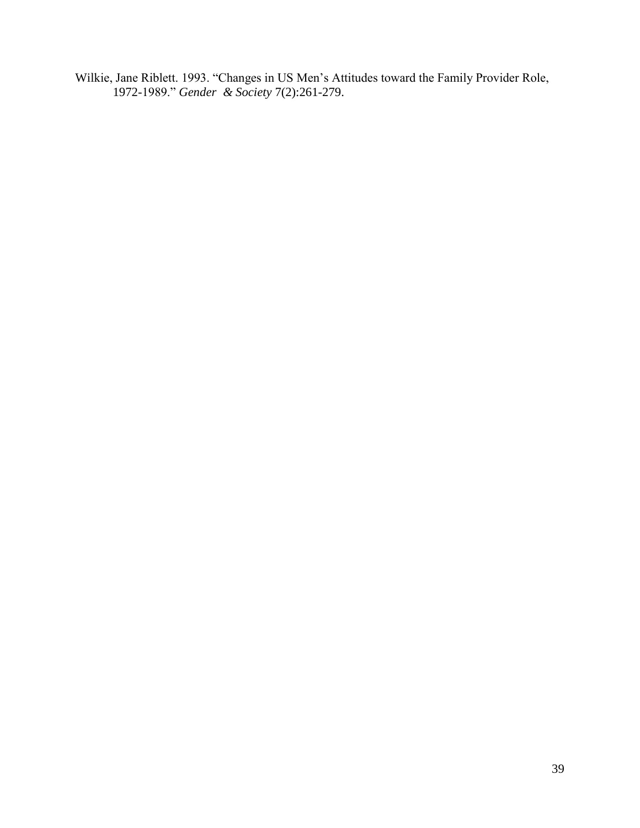Wilkie, Jane Riblett. 1993. "Changes in US Men's Attitudes toward the Family Provider Role, 1972-1989." *Gender & Society* 7(2):261-279.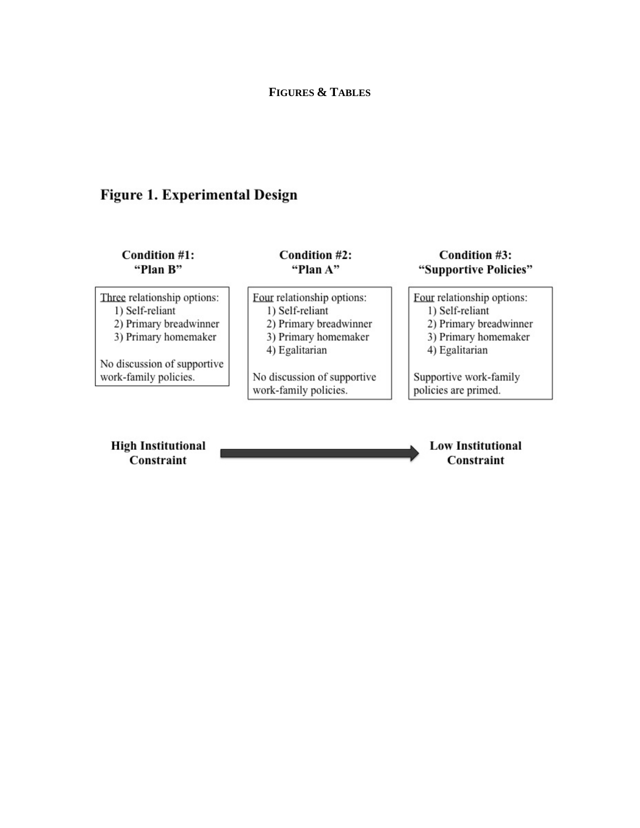# Figure 1. Experimental Design

| Condition #1:                                                                                    | Condition #2:                                                                                                     | Condition #3:                                                                                                     |
|--------------------------------------------------------------------------------------------------|-------------------------------------------------------------------------------------------------------------------|-------------------------------------------------------------------------------------------------------------------|
| "Plan B"                                                                                         | "Plan A"                                                                                                          | "Supportive Policies"                                                                                             |
| Three relationship options:<br>1) Self-reliant<br>2) Primary breadwinner<br>3) Primary homemaker | Four relationship options:<br>1) Self-reliant<br>2) Primary breadwinner<br>3) Primary homemaker<br>4) Egalitarian | Four relationship options:<br>1) Self-reliant<br>2) Primary breadwinner<br>3) Primary homemaker<br>4) Egalitarian |
| No discussion of supportive                                                                      | No discussion of supportive                                                                                       | Supportive work-family                                                                                            |
| work-family policies.                                                                            | work-family policies.                                                                                             | policies are primed.                                                                                              |
| <b>High Institutional</b><br><b>Constraint</b>                                                   |                                                                                                                   | <b>Low Institutional</b><br>Constraint                                                                            |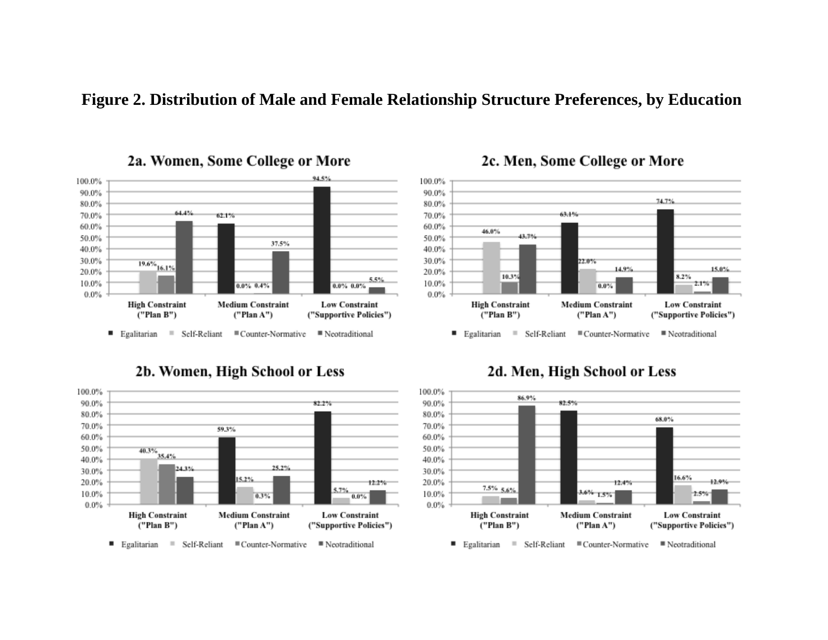# **Figure 2. Distribution of Male and Female Relationship Structure Preferences, by Education**



2a. Women, Some College or More





# 2c. Men, Some College or More



# 2d. Men, High School or Less

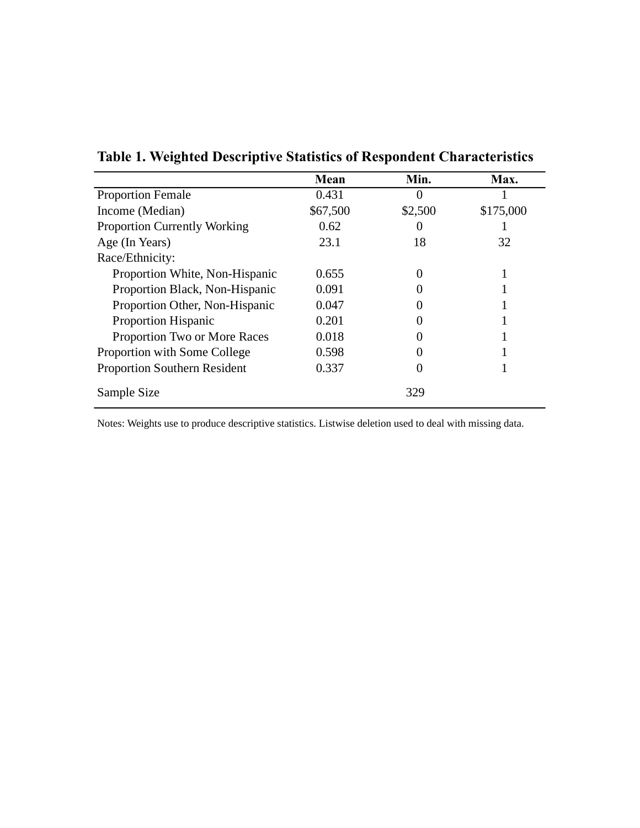|                                     | Mean     | Min.    | Max.      |
|-------------------------------------|----------|---------|-----------|
| <b>Proportion Female</b>            | 0.431    |         |           |
| Income (Median)                     | \$67,500 | \$2,500 | \$175,000 |
| <b>Proportion Currently Working</b> | 0.62     |         |           |
| Age (In Years)                      | 23.1     | 18      | 32        |
| Race/Ethnicity:                     |          |         |           |
| Proportion White, Non-Hispanic      | 0.655    |         |           |
| Proportion Black, Non-Hispanic      | 0.091    |         |           |
| Proportion Other, Non-Hispanic      | 0.047    |         |           |
| <b>Proportion Hispanic</b>          | 0.201    |         |           |
| Proportion Two or More Races        | 0.018    |         |           |
| Proportion with Some College        | 0.598    |         |           |
| <b>Proportion Southern Resident</b> | 0.337    |         |           |
| Sample Size                         |          | 329     |           |

**Table 1. Weighted Descriptive Statistics of Respondent Characteristics**

Notes: Weights use to produce descriptive statistics. Listwise deletion used to deal with missing data.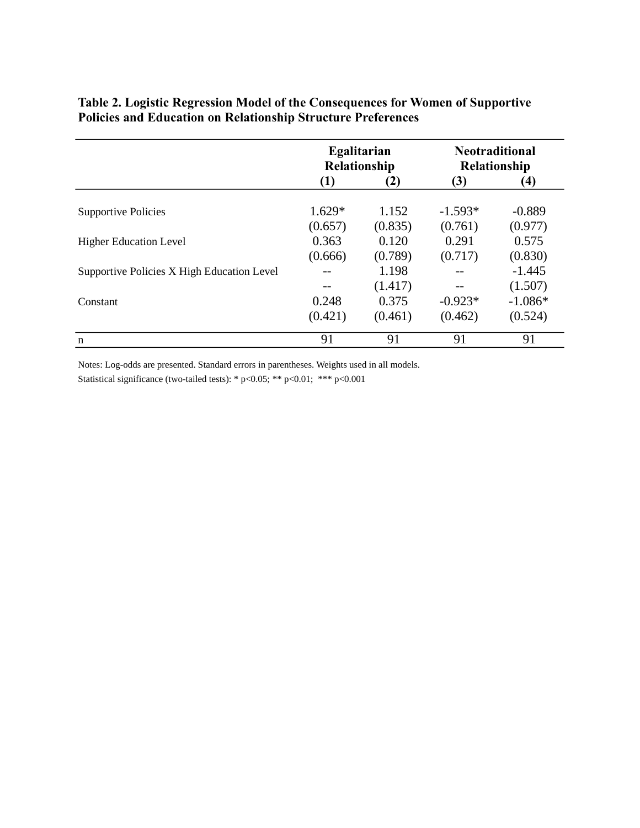|                                            | Egalitarian<br>Relationship |         | <b>Neotraditional</b><br><b>Relationship</b> |           |
|--------------------------------------------|-----------------------------|---------|----------------------------------------------|-----------|
|                                            | $\left( 1\right)$           | (2)     | (3)                                          | $\bf(4)$  |
| <b>Supportive Policies</b>                 | $1.629*$                    | 1.152   | $-1.593*$                                    | $-0.889$  |
|                                            | (0.657)                     | (0.835) | (0.761)                                      | (0.977)   |
| <b>Higher Education Level</b>              | 0.363                       | 0.120   | 0.291                                        | 0.575     |
|                                            | (0.666)                     | (0.789) | (0.717)                                      | (0.830)   |
| Supportive Policies X High Education Level |                             | 1.198   |                                              | $-1.445$  |
|                                            |                             | (1.417) |                                              | (1.507)   |
| Constant                                   | 0.248                       | 0.375   | $-0.923*$                                    | $-1.086*$ |
|                                            | (0.421)                     | (0.461) | (0.462)                                      | (0.524)   |
| n                                          | 91                          | 91      | 91                                           | 91        |

# **Table 2. Logistic Regression Model of the Consequences for Women of Supportive Policies and Education on Relationship Structure Preferences**

Notes: Log-odds are presented. Standard errors in parentheses. Weights used in all models. Statistical significance (two-tailed tests): \* p<0.05; \*\* p<0.01; \*\*\* p<0.001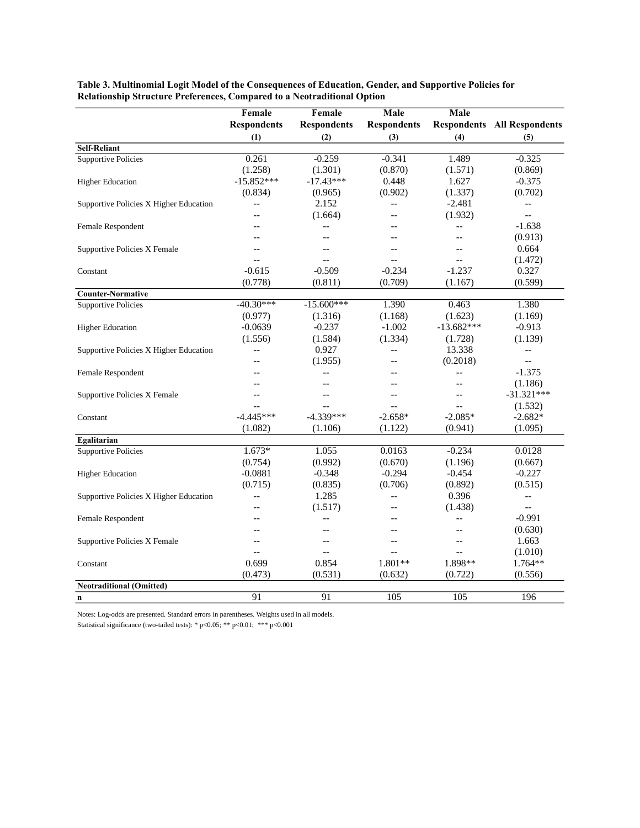|                                        | Female                   | Female             | Male               | Male                     |                                    |
|----------------------------------------|--------------------------|--------------------|--------------------|--------------------------|------------------------------------|
|                                        | <b>Respondents</b>       | <b>Respondents</b> | <b>Respondents</b> |                          | <b>Respondents</b> All Respondents |
|                                        | (1)                      | (2)                | (3)                | (4)                      | (5)                                |
| <b>Self-Reliant</b>                    |                          |                    |                    |                          |                                    |
| <b>Supportive Policies</b>             | 0.261                    | $-0.259$           | $-0.341$           | 1.489                    | $-0.325$                           |
|                                        | (1.258)                  | (1.301)            | (0.870)            | (1.571)                  | (0.869)                            |
| <b>Higher Education</b>                | $-15.852***$             | $-17.43***$        | 0.448              | 1.627                    | $-0.375$                           |
|                                        | (0.834)                  | (0.965)            | (0.902)            | (1.337)                  | (0.702)                            |
| Supportive Policies X Higher Education | $-$                      | 2.152              | $-$                | $-2.481$                 | $\overline{\phantom{a}}$           |
|                                        |                          | (1.664)            | $-$                | (1.932)                  | $-$                                |
| Female Respondent                      | $-$                      | $-$                |                    | $\overline{\phantom{a}}$ | $-1.638$                           |
|                                        |                          | $-$                |                    | $\overline{\phantom{a}}$ | (0.913)                            |
| Supportive Policies X Female           |                          | $-$                | $-$                | $-$                      | 0.664                              |
|                                        |                          |                    | $-$                | $\overline{\phantom{a}}$ | (1.472)                            |
| Constant                               | $-0.615$                 | $-0.509$           | $-0.234$           | $-1.237$                 | 0.327                              |
|                                        | (0.778)                  | (0.811)            | (0.709)            | (1.167)                  | (0.599)                            |
| <b>Counter-Normative</b>               |                          |                    |                    |                          |                                    |
| <b>Supportive Policies</b>             | $-40.30***$              | $-15.600***$       | 1.390              | 0.463                    | 1.380                              |
|                                        | (0.977)                  | (1.316)            | (1.168)            | (1.623)                  | (1.169)                            |
| <b>Higher Education</b>                | $-0.0639$                | $-0.237$           | $-1.002$           | $-13.682***$             | $-0.913$                           |
|                                        | (1.556)                  | (1.584)            | (1.334)            | (1.728)                  | (1.139)                            |
| Supportive Policies X Higher Education | $\overline{a}$           | 0.927              | $\overline{a}$     | 13.338                   | $\overline{a}$                     |
|                                        |                          | (1.955)            | $-$                | (0.2018)                 | $\overline{a}$                     |
| Female Respondent                      | $-$                      | $\overline{a}$     | --                 | $\overline{\phantom{a}}$ | $-1.375$                           |
|                                        |                          |                    |                    |                          | (1.186)                            |
| Supportive Policies X Female           |                          |                    | --                 | $\overline{\phantom{a}}$ | $-31.321***$                       |
|                                        |                          |                    | $-$                | $\overline{\phantom{a}}$ | (1.532)                            |
| Constant                               | $-4.445***$              | $-4.339***$        | $-2.658*$          | $-2.085*$                | $-2.682*$                          |
|                                        | (1.082)                  | (1.106)            | (1.122)            | (0.941)                  | (1.095)                            |
| Egalitarian                            |                          |                    |                    |                          |                                    |
| <b>Supportive Policies</b>             | $1.673*$                 | 1.055              | 0.0163             | $-0.234$                 | 0.0128                             |
|                                        | (0.754)                  | (0.992)            | (0.670)            | (1.196)                  | (0.667)                            |
| <b>Higher Education</b>                | $-0.0881$                | $-0.348$           | $-0.294$           | $-0.454$                 | $-0.227$                           |
|                                        | (0.715)                  | (0.835)            | (0.706)            | (0.892)                  | (0.515)                            |
| Supportive Policies X Higher Education | --                       | 1.285              | $-$                | 0.396                    | $-$                                |
|                                        |                          | (1.517)            |                    | (1.438)                  | $-$                                |
| Female Respondent                      | $-$                      | $\overline{a}$     | $-$                | $\overline{\phantom{a}}$ | $-0.991$                           |
|                                        |                          | $-$                |                    | $-$                      | (0.630)                            |
| Supportive Policies X Female           | $\overline{\phantom{a}}$ | $-$                | $-$                | $\overline{\phantom{a}}$ | 1.663                              |
|                                        | $\overline{\phantom{a}}$ | $-$                | $-$                | $\overline{\phantom{a}}$ | (1.010)                            |
| Constant                               | 0.699                    | 0.854              | 1.801**            | 1.898**                  | 1.764**                            |
|                                        | (0.473)                  | (0.531)            | (0.632)            | (0.722)                  | (0.556)                            |
| <b>Neotraditional (Omitted)</b>        |                          |                    |                    |                          |                                    |
| n                                      | 91                       | 91                 | 105                | 105                      | 196                                |

**Table 3. Multinomial Logit Model of the Consequences of Education, Gender, and Supportive Policies for Relationship Structure Preferences, Compared to a Neotraditional Option**

Notes: Log-odds are presented. Standard errors in parentheses. Weights used in all models.

Statistical significance (two-tailed tests): \* p<0.05; \*\* p<0.01; \*\*\* p<0.001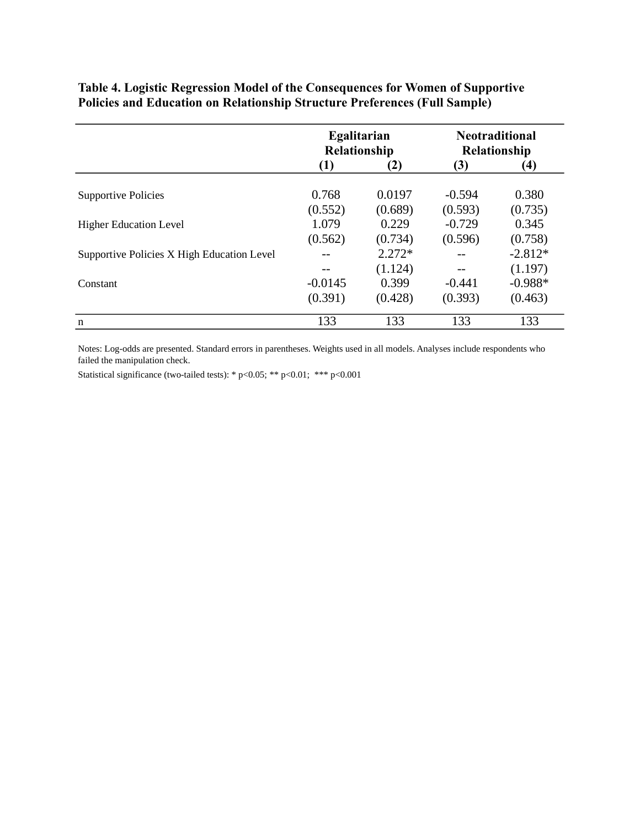|                                            | Egalitarian<br>Relationship |          | <b>Neotraditional</b><br>Relationship |           |
|--------------------------------------------|-----------------------------|----------|---------------------------------------|-----------|
|                                            | (1)                         | (2)      | (3)                                   | $\bf(4)$  |
| <b>Supportive Policies</b>                 | 0.768                       | 0.0197   | $-0.594$                              | 0.380     |
|                                            | (0.552)                     | (0.689)  | (0.593)                               | (0.735)   |
| <b>Higher Education Level</b>              | 1.079                       | 0.229    | $-0.729$                              | 0.345     |
|                                            | (0.562)                     | (0.734)  | (0.596)                               | (0.758)   |
| Supportive Policies X High Education Level |                             | $2.272*$ |                                       | $-2.812*$ |
|                                            |                             | (1.124)  |                                       | (1.197)   |
| Constant                                   | $-0.0145$                   | 0.399    | $-0.441$                              | $-0.988*$ |
|                                            | (0.391)                     | (0.428)  | (0.393)                               | (0.463)   |
| $\mathbf n$                                | 133                         | 133      | 133                                   | 133       |

**Table 4. Logistic Regression Model of the Consequences for Women of Supportive Policies and Education on Relationship Structure Preferences (Full Sample)**

Notes: Log-odds are presented. Standard errors in parentheses. Weights used in all models. Analyses include respondents who failed the manipulation check.

Statistical significance (two-tailed tests): \* p<0.05; \*\* p<0.01; \*\*\* p<0.001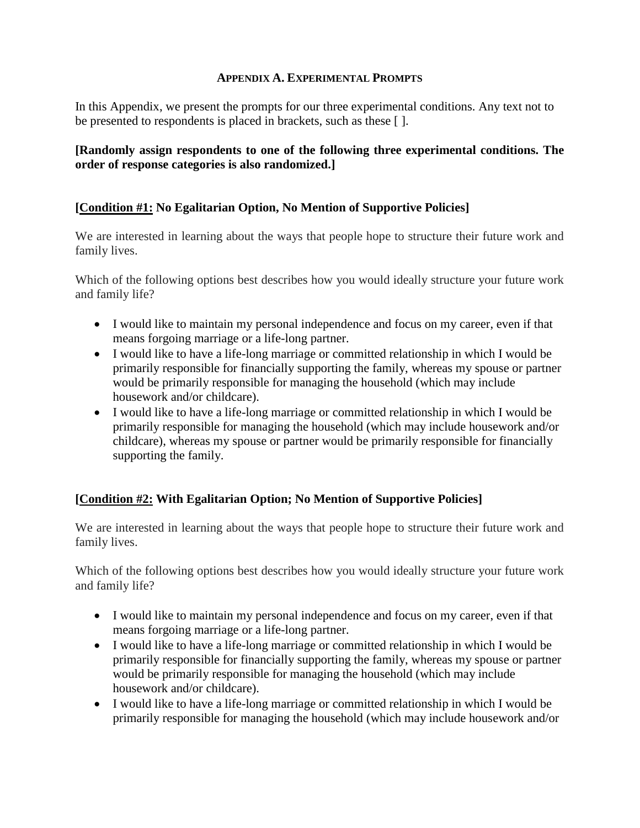# **APPENDIX A. EXPERIMENTAL PROMPTS**

In this Appendix, we present the prompts for our three experimental conditions. Any text not to be presented to respondents is placed in brackets, such as these [ ].

**[Randomly assign respondents to one of the following three experimental conditions. The order of response categories is also randomized.]**

# **[Condition #1: No Egalitarian Option, No Mention of Supportive Policies]**

We are interested in learning about the ways that people hope to structure their future work and family lives.

Which of the following options best describes how you would ideally structure your future work and family life?

- I would like to maintain my personal independence and focus on my career, even if that means forgoing marriage or a life-long partner.
- I would like to have a life-long marriage or committed relationship in which I would be primarily responsible for financially supporting the family, whereas my spouse or partner would be primarily responsible for managing the household (which may include housework and/or childcare).
- I would like to have a life-long marriage or committed relationship in which I would be primarily responsible for managing the household (which may include housework and/or childcare), whereas my spouse or partner would be primarily responsible for financially supporting the family.

# **[Condition #2: With Egalitarian Option; No Mention of Supportive Policies]**

We are interested in learning about the ways that people hope to structure their future work and family lives.

Which of the following options best describes how you would ideally structure your future work and family life?

- I would like to maintain my personal independence and focus on my career, even if that means forgoing marriage or a life-long partner.
- I would like to have a life-long marriage or committed relationship in which I would be primarily responsible for financially supporting the family, whereas my spouse or partner would be primarily responsible for managing the household (which may include housework and/or childcare).
- I would like to have a life-long marriage or committed relationship in which I would be primarily responsible for managing the household (which may include housework and/or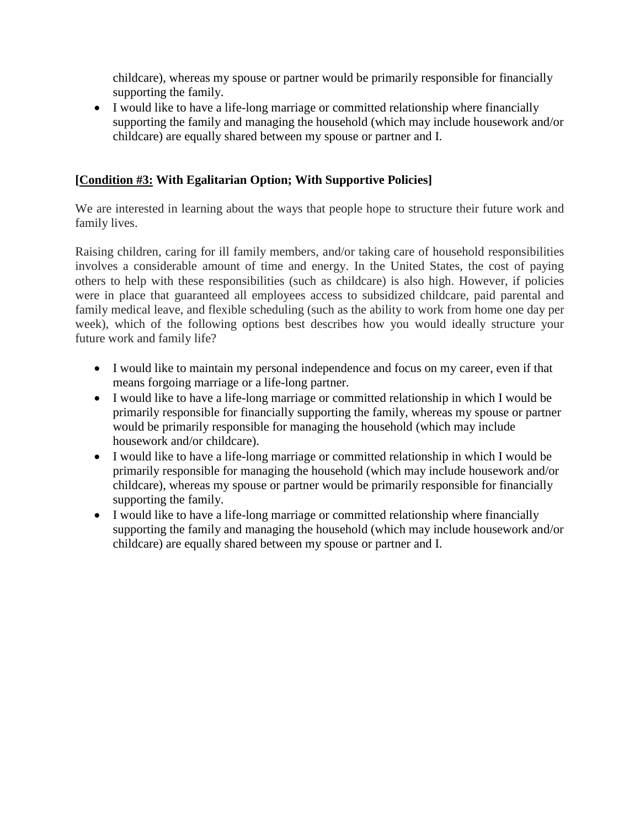childcare), whereas my spouse or partner would be primarily responsible for financially supporting the family.

 I would like to have a life-long marriage or committed relationship where financially supporting the family and managing the household (which may include housework and/or childcare) are equally shared between my spouse or partner and I.

# **[Condition #3: With Egalitarian Option; With Supportive Policies]**

We are interested in learning about the ways that people hope to structure their future work and family lives.

Raising children, caring for ill family members, and/or taking care of household responsibilities involves a considerable amount of time and energy. In the United States, the cost of paying others to help with these responsibilities (such as childcare) is also high. However, if policies were in place that guaranteed all employees access to subsidized childcare, paid parental and family medical leave, and flexible scheduling (such as the ability to work from home one day per week), which of the following options best describes how you would ideally structure your future work and family life?

- I would like to maintain my personal independence and focus on my career, even if that means forgoing marriage or a life-long partner.
- I would like to have a life-long marriage or committed relationship in which I would be primarily responsible for financially supporting the family, whereas my spouse or partner would be primarily responsible for managing the household (which may include housework and/or childcare).
- I would like to have a life-long marriage or committed relationship in which I would be primarily responsible for managing the household (which may include housework and/or childcare), whereas my spouse or partner would be primarily responsible for financially supporting the family.
- I would like to have a life-long marriage or committed relationship where financially supporting the family and managing the household (which may include housework and/or childcare) are equally shared between my spouse or partner and I.